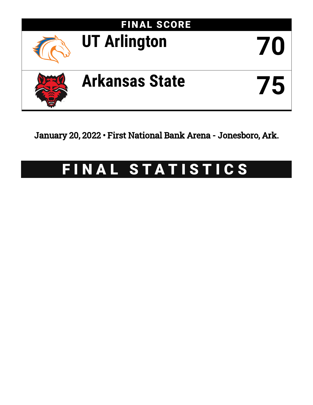

January 20, 2022 • First National Bank Arena - Jonesboro, Ark.

# FINAL STATISTICS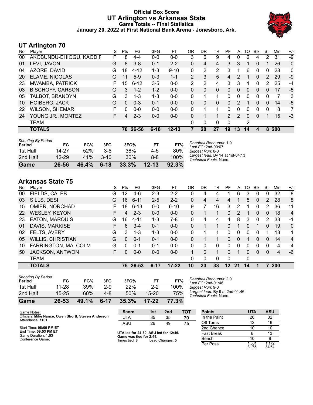## **Official Box Score UT Arlington vs Arkansas State Game Totals -- Final Statistics January 20, 2022 at First National Bank Arena - Jonesboro, Ark.**



## **UT Arlington 70**

| No. | Plaver                  | S  | Pts      | FG       | 3FG      | FT        | OR             | DR | TR       | PF           | A        | TΟ | <b>B</b> lk  | Stl           | Min        | $+/-$        |
|-----|-------------------------|----|----------|----------|----------|-----------|----------------|----|----------|--------------|----------|----|--------------|---------------|------------|--------------|
| 00  | AKOBUNDU-EHIOGU, KAODIF | F  | 8        | $4 - 4$  | $0-0$    | $0-0$     | 3              | 6  | 9        | 4            | 0        | 2  | 4            | 2             | 31         | -9           |
| 01  | LEVI, JAVON             | G  | 8        | $3 - 8$  | $0 - 1$  | $2 - 2$   | 0              | 4  | 4        | 3            | 3        |    | 0            |               | 26         | $\mathbf 0$  |
| 04  | AZORE, DAVID            | G  | 18       | $4 - 12$ | 1-3      | $9 - 10$  | 0              | 2  | 2        | 3            | 1        | 6  | 0            | 0             | 28         | $\mathbf{0}$ |
| 20  | <b>ELAME, NICOLAS</b>   | G  | 11       | $5-9$    | $0 - 3$  | $1 - 1$   | $\overline{2}$ | 3  | 5        | 4            | 2        | 1  | $\mathbf{0}$ | $\mathcal{P}$ | 29         | $-9$         |
| 23  | MWAMBA, PATRICK         | F. | 15       | $6 - 12$ | $3 - 5$  | $0 - 0$   | 2              | 2  | 4        | 3            | 3        | 1  | 0            | 2             | 25         | -4           |
| 03  | <b>BISCHOFF, CARSON</b> | G  | 3        | $1 - 2$  | $1 - 2$  | $0 - 0$   | 0              | 0  | $\Omega$ | $\Omega$     | $\Omega$ | 0  | $\Omega$     | 0             | 17         | $-5$         |
| 05  | TALBOT, BRANDYN         | G  | 3        | $1 - 3$  | $1 - 3$  | $0 - 0$   | 0              |    |          | 0            | $\Omega$ | 0  | 0            | 0             |            | 3            |
| 10  | <b>HOIBERG, JACK</b>    | G  | $\Omega$ | $0 - 3$  | $0 - 1$  | $0 - 0$   | 0              | 0  | 0        | $\mathbf{0}$ | 2        |    | 0            | $\Omega$      | 14         | -5           |
| 22  | <b>WILSON, SHEMAR</b>   | F. | 0        | $0 - 0$  | $0 - 0$  | $0 - 0$   | 0              | 1  |          | 0            | $\Omega$ | 0  | 0            | 0             | 8          |              |
| 24  | YOUNG JR., MONTEZ       | F. | 4        | $2 - 3$  | $0 - 0$  | $0 - 0$   | 0              |    |          | 2            | 2        | 0  | $\Omega$     |               | 15         | $-3$         |
|     | <b>TEAM</b>             |    |          |          |          |           | 0              | 0  | 0        | 0            |          | 2  |              |               |            |              |
|     | <b>TOTALS</b>           |    | 70       | 26-56    | $6 - 18$ | $12 - 13$ | 7              | 20 | 27       | 19           | 13       | 14 | 4            | 8             | <b>200</b> |              |

| <b>Shooting By Period</b><br>Period | FG        | FG%   | 3FG      | 3FG%  | FT.       | FT%   | Deadball Rebounds: 1,0<br>Last FG: 2nd-00:07               |
|-------------------------------------|-----------|-------|----------|-------|-----------|-------|------------------------------------------------------------|
| 1st Half                            | 14-27     | 52%   | $3 - 8$  | 38%   | $4-5$     | 80%   | Biggest Run: 8-0                                           |
| 2nd Half                            | $12 - 29$ | 41%   | $3-10$   | 30%   | $8 - 8$   | 100%  | Largest lead: By 14 at 1st-04:13<br>Technical Fouls: None. |
| Game                                | 26-56     | 46.4% | $6 - 18$ | 33.3% | $12 - 13$ | 92.3% |                                                            |

# **Arkansas State 75**

| No. | Plaver                   | S  | Pts | FG       | 3FG      | FТ        | OR       | DR | TR       | PF       | A  | TO           | <b>B</b> lk | Stl      | Min        | $+/-$          |
|-----|--------------------------|----|-----|----------|----------|-----------|----------|----|----------|----------|----|--------------|-------------|----------|------------|----------------|
| 00  | FIELDS, CALEB            | G  | 12  | $4-6$    | $2 - 3$  | 2-2       | 0        | 4  | 4        |          | 6  | 3            | 0           | 0        | 32         | 8              |
| 03  | SILLS, DESI              | G  | 16  | $6 - 11$ | $2 - 5$  | $2 - 2$   | $\Omega$ | 4  | 4        | 4        |    | 5            | 0           | 2        | 28         | 8              |
| 15  | OMIER, NORCHAD           | F  | 18  | $6 - 13$ | $0 - 0$  | $6 - 10$  | 9        |    | 16       | 3.       | 2  |              | 0           | 2        | 36         | 11             |
| 22  | <b>WESLEY, KEYON</b>     | F. | 4   | $2 - 3$  | $0 - 0$  | $0 - 0$   | 0        |    |          | 0        | 2  | 1            | 0           | 0        | 18         | 4              |
| 23  | <b>EATON, MARQUIS</b>    | G  | 16  | $4 - 11$ | $1 - 3$  | 7-8       | 0        | 4  | 4        | 4        | 8  | 3            | 0           | 2        | 33         | -1             |
| 01  | DAVIS, MARKISE           | F  | 6   | $3 - 4$  | $0 - 1$  | $0 - 0$   | 0        |    |          | $\Omega$ | 1  | $\Omega$     |             | $\Omega$ | 19         | $\mathbf{0}$   |
| 02  | FELTS, AVERY             | G  | 3   | $1 - 3$  | 1-3      | $0 - 0$   | $\Omega$ |    |          | 0        | 0  | $\Omega$     | 0           |          | 13         | 1              |
| 05  | <b>WILLIS, CHRISTIAN</b> | G  | 0   | $0 - 1$  | $0 - 1$  | $0 - 0$   | 0        |    |          | 0        | 0  |              | 0           | 0        | 14         | $\overline{4}$ |
| 10  | FARRINGTON, MALCOLM      | G  | 0   | $0 - 1$  | $0 - 1$  | $0 - 0$   | 0        | 0  | $\Omega$ | 0        | 0  | 0            | 0           | 0        | 4          | -4             |
| 50  | <b>JACKSON, ANTWON</b>   | F. | 0   | $0 - 0$  | $0 - 0$  | $0 - 0$   |          | 0  | 1        | 0        |    | 0            | 0           | 0        | 4          | -6             |
|     | TEAM                     |    |     |          |          |           | $\Omega$ | 0  | $\Omega$ | $\Omega$ |    | $\mathbf{0}$ |             |          |            |                |
|     | <b>TOTALS</b>            |    | 75. | 26-53    | $6 - 17$ | $17 - 22$ | 10       | 23 | 33       | $12 \,$  | 21 | 14           |             |          | <b>200</b> |                |

| Game                                | $26 - 53$ | 49.1% | $6 - 17$ | 35.3%      | $17 - 22$ | <b>77.3%</b>     |
|-------------------------------------|-----------|-------|----------|------------|-----------|------------------|
| 2nd Half                            | $15 - 25$ | 60%   | 4-8      | 50%        | $15 - 20$ | 75%              |
| 1st Half                            | 11-28     | 39%   | $2-9$    | <b>22%</b> | $2-2$     | 100 <sup>%</sup> |
| <b>Shooting By Period</b><br>Period | FG        | FG%   | 3FG      | 3FG%       | FТ        | FT%              |

*Deadball Rebounds:* 2,0 *Last FG:* 2nd-01:46 *Biggest Run:* 9-0 *Largest lead:* By 9 at 2nd-01:46 *Technical Fouls:* None.

| Game Notes:                                                             | <b>Score</b>                             | 1st | 2 <sub>nd</sub> | тот | <b>Points</b> | <b>UTA</b>     | ASU            |
|-------------------------------------------------------------------------|------------------------------------------|-----|-----------------|-----|---------------|----------------|----------------|
| Officials: Mike Nance, Owen Shortt, Steven Anderson<br>Attendance: 1161 | UTA                                      | 35  | 35              | 70  | In the Paint  | 26             | 32             |
|                                                                         | ASU                                      | 26  | 49              | 75  | Off Turns     |                | 19             |
| Start Time: 08:00 PM ET                                                 |                                          |     |                 |     | 2nd Chance    | 10             | 10             |
| End Time: 09:53 PM ET<br>Game Duration: 1:53                            | UTA led for 24:30. ASU led for 12:46.    |     |                 |     | Fast Break    |                | 13             |
| Conference Game:                                                        | Game was tied for 2:44.<br>Times tied: 8 |     | Lead Changes: 5 |     | Bench         |                |                |
|                                                                         |                                          |     |                 |     | Per Poss      | 1.061<br>31/66 | 1.172<br>34/64 |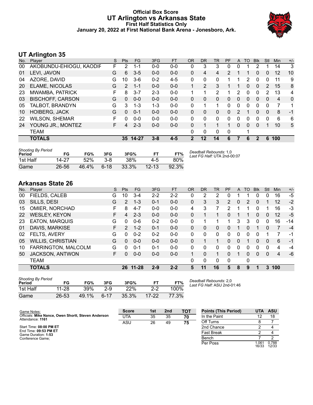## **Official Box Score UT Arlington vs Arkansas State First Half Statistics Only January 20, 2022 at First National Bank Arena - Jonesboro, Ark.**



## **UT Arlington 35**

| No. | Player                  | S  | <b>Pts</b>    | <b>FG</b> | 3FG     | <b>FT</b> | <b>OR</b>   | <b>DR</b> | <b>TR</b> | PF             | A | TO       | <b>B</b> lk | Stl      | Min            | $+/-$ |
|-----|-------------------------|----|---------------|-----------|---------|-----------|-------------|-----------|-----------|----------------|---|----------|-------------|----------|----------------|-------|
| 00  | AKOBUNDU-EHIOGU, KAODIF | F  | 2             | 1-1       | $0-0$   | $0-0$     | 0           | 3         | 3         | 0              | 0 |          |             |          | 14             | 3     |
| 01  | LEVI, JAVON             | G  | 6             | $3-5$     | $0 - 0$ | $0-0$     | 0           | 4         | 4         | $\overline{2}$ |   |          | 0           | 0        | 12             | 10    |
| 04  | AZORE, DAVID            | G  | 10            | $3-6$     | $0 - 2$ | $4 - 5$   | 0           | 0         | 0         |                |   | 2        | $\Omega$    | 0        | 11             | 9     |
| 20  | <b>ELAME, NICOLAS</b>   | G  | $\mathcal{P}$ | $1 - 1$   | $0 - 0$ | $0 - 0$   |             | 2         | 3         |                |   | 0        | $\Omega$    | 2        | 15             | 8     |
| 23  | MWAMBA, PATRICK         | F  | 8             | $3 - 7$   | $2 - 3$ | $0 - 0$   |             |           | 2         |                | 2 | 0        | 0           | 2        | 13             | 4     |
| 03  | <b>BISCHOFF, CARSON</b> | G  | $\Omega$      | $0 - 0$   | $0 - 0$ | $0 - 0$   | 0           | 0         | 0         | 0              | 0 | $\Omega$ | 0           | 0        | $\overline{4}$ | 0     |
| 05  | TALBOT, BRANDYN         | G  | 3             | $1 - 3$   | $1 - 3$ | $0 - 0$   | 0           | 1         | -1        | 0              | 0 | 0        | $\Omega$    | $\Omega$ | 7              | 1     |
| 10  | <b>HOIBERG, JACK</b>    | G  | $\Omega$      | $0 - 1$   | $0 - 0$ | $0 - 0$   | 0           | $\Omega$  | $\Omega$  | 0              | 2 |          | $\Omega$    | $\Omega$ | 8              | -1    |
| 22  | <b>WILSON, SHEMAR</b>   | F  | $\Omega$      | $0 - 0$   | $0 - 0$ | $0 - 0$   | 0           | $\Omega$  | $\Omega$  | 0              | 0 | 0        | $\Omega$    | $\Omega$ | 6              | 6     |
| 24  | YOUNG JR., MONTEZ       | F. | 4             | $2 - 3$   | $0 - 0$ | $0 - 0$   | 0           | 1         |           | 1              | 0 | $\Omega$ | $\Omega$    |          | 10             | 5     |
|     | TEAM                    |    |               |           |         |           | 0           | 0         | 0         | 0              |   | 1        |             |          |                |       |
|     | <b>TOTALS</b>           |    | 35            | 14-27     | $3 - 8$ | $4 - 5$   | $\mathbf 2$ | 12        | 14        | 6              |   | 6        | 2           | 6        | 100            |       |
|     |                         |    |               |           |         |           |             |           |           |                |   |          |             |          |                |       |

| <b>Shooting By Period</b><br>Period | FG    | FG%      | 3FG      | 3FG%  | F1        | FT%   | Deadball Rebounds: 1,0<br>Last FG Half: UTA 2nd-00:07 |
|-------------------------------------|-------|----------|----------|-------|-----------|-------|-------------------------------------------------------|
| 1st Half                            | 14-27 | 52%      | $3 - 8$  | 38%   | 4-5       | 80%   |                                                       |
| Game                                | 26-56 | $46.4\%$ | $6 - 18$ | 33.3% | $12 - 13$ | 92.3% |                                                       |

## **Arkansas State 26**

| No. | Player                   | S  | <b>Pts</b>    | <b>FG</b> | 3FG     | <b>FT</b> | <b>OR</b> | <b>DR</b> | <b>TR</b> | PF             | A | <b>TO</b> | <b>Blk</b>   | Stl      | Min | $+/-$ |
|-----|--------------------------|----|---------------|-----------|---------|-----------|-----------|-----------|-----------|----------------|---|-----------|--------------|----------|-----|-------|
| 00  | FIELDS, CALEB            | G  | 10            | $3 - 4$   | $2 - 2$ | $2 - 2$   | 0         | 2         | 2         |                |   |           | 0            | 0        | 16  | $-5$  |
| 03  | SILLS, DESI              | G  | 2             | $1 - 3$   | $0 - 1$ | $0 - 0$   | 0         | 3         | 3         | $\overline{2}$ | 0 | 2         | 0            |          | 12  | $-2$  |
| 15  | OMIER, NORCHAD           | F. | 8             | $4 - 7$   | $0 - 0$ | $0 - 0$   | 4         | 3         |           | 2              | 1 |           | 0            |          | 16  | -3    |
| 22  | <b>WESLEY, KEYON</b>     | F  | 4             | $2 - 3$   | $0 - 0$ | $0 - 0$   | 0         |           |           | 0              |   |           | 0            | $\Omega$ | 12  | -5    |
| 23  | <b>EATON, MARQUIS</b>    | G  | 0             | $0-6$     | $0 - 2$ | $0 - 0$   | 0         |           |           |                | 3 | 3         | $\mathbf{0}$ | 0        | 16  | $-14$ |
| 01  | DAVIS, MARKISE           | F  | $\mathcal{P}$ | $1 - 2$   | $0 - 1$ | $0 - 0$   | 0         | 0         | $\Omega$  | 0              | 1 | 0         |              | 0        | 7   | $-4$  |
| 02  | FELTS, AVERY             | G  | 0             | $0 - 2$   | $0 - 2$ | $0 - 0$   | 0         | 0         | $\Omega$  | 0              | 0 | 0         | 0            |          |     | -1    |
| 05  | <b>WILLIS, CHRISTIAN</b> | G  | $\Omega$      | $0 - 0$   | $0 - 0$ | $0 - 0$   | 0         |           |           | $\Omega$       | 0 |           | $\mathbf{0}$ | $\Omega$ | 6   | $-1$  |
| 10  | FARRINGTON, MALCOLM      | G  | $\Omega$      | $0 - 1$   | $0 - 1$ | $0 - 0$   | 0         | 0         | $\Omega$  | 0              | 0 | 0         | 0            | 0        | 4   | $-4$  |
| 50  | JACKSON, ANTWON          | F. | 0             | $0 - 0$   | $0 - 0$ | $0 - 0$   | 1         | 0         |           | 0              | 1 | 0         | 0            | $\Omega$ | 4   | -6    |
|     | <b>TEAM</b>              |    |               |           |         |           | 0         | 0         | $\Omega$  | $\Omega$       |   | 0         |              |          |     |       |
|     | <b>TOTALS</b>            |    | 26            | 11-28     | $2 - 9$ | $2 - 2$   | 5         | 11        | 16        | 5              | 8 | 9         |              | 3        | 100 |       |

| <b>Shooting By Period</b><br>Period | FG        | FG%   | 3FG    | 3FG%  | FТ        | FT%   | Dea<br>Las |
|-------------------------------------|-----------|-------|--------|-------|-----------|-------|------------|
| 1st Half                            | $11 - 28$ | 39%   | $2-9$  | 22%   | $2-2$     | 100%  |            |
| Game                                | 26-53     | 49.1% | $6-17$ | 35.3% | $17 - 22$ | 77.3% |            |

*Deadball Rebounds:* 2,0 *Last FG Half:* ASU 2nd-01:46

| Game Notes:                                                             | <b>Score</b> | 1st | 2 <sub>nd</sub> | TOT | <b>Points (This Period)</b> | UTA            | <b>ASU</b>     |
|-------------------------------------------------------------------------|--------------|-----|-----------------|-----|-----------------------------|----------------|----------------|
| Officials: Mike Nance, Owen Shortt, Steven Anderson<br>Attendance: 1161 | UTA          | 35  | 35              | 70  | In the Paint                |                | 18             |
|                                                                         | ASU          | 26  | 49              | 75  | Off Turns                   |                |                |
| Start Time: 08:00 PM ET                                                 |              |     |                 |     | 2nd Chance                  |                |                |
| End Time: 09:53 PM ET<br>Game Duration: 1:53                            |              |     |                 |     | <b>Fast Break</b>           |                |                |
| Conference Game:                                                        |              |     |                 |     | Bench                       |                |                |
|                                                                         |              |     |                 |     | Per Poss                    | 1.061<br>16/33 | 0.788<br>12/33 |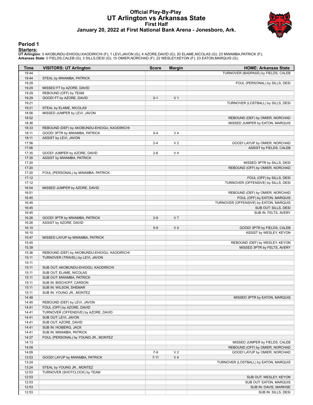#### **Official Play-By-Play UT Arlington vs Arkansas State First Half January 20, 2022 at First National Bank Arena - Jonesboro, Ark.**



#### **Period 1**

#### **Starters:**

**UT Arlington**: 0 AKOBUNDU-EHIOGU,KAODIRICHI (F); 1 LEVI,JAVON (G); 4 AZORE,DAVID (G); 20 ELAME,NICOLAS (G); 23 MWAMBA,PATRICK (F);<br>**Arkansas State**: 0 FIELDS,CALEB (G); 3 SILLS,DESI (G); 15 OMIER,NORCHAD (F); 22 WESLEY,KE

| Time           | <b>VISITORS: UT Arlington</b>                      | <b>Score</b> | <b>Margin</b>  | <b>HOME: Arkansas State</b>                                    |
|----------------|----------------------------------------------------|--------------|----------------|----------------------------------------------------------------|
| 19:44          |                                                    |              |                | TURNOVER (BADPASS) by FIELDS, CALEB                            |
| 19:44          | STEAL by MWAMBA, PATRICK                           |              |                |                                                                |
| 19:29          |                                                    |              |                | FOUL (PERSONAL) by SILLS, DESI                                 |
| 19:29          | MISSED FT by AZORE, DAVID                          |              |                |                                                                |
| 19:29          | REBOUND (OFF) by TEAM                              |              |                |                                                                |
| 19:29          | GOOD! FT by AZORE, DAVID                           | $0 - 1$      | V <sub>1</sub> |                                                                |
| 19:21          |                                                    |              |                | TURNOVER (LOSTBALL) by SILLS, DESI                             |
| 19:21          | STEAL by ELAME, NICOLAS                            |              |                |                                                                |
| 18:56          | MISSED JUMPER by LEVI, JAVON                       |              |                |                                                                |
| 18:52<br>18:36 |                                                    |              |                | REBOUND (DEF) by OMIER, NORCHAD                                |
| 18:33          | REBOUND (DEF) by AKOBUNDU-EHIOGU, KAODIRICHI       |              |                | MISSED JUMPER by EATON, MARQUIS                                |
| 18:11          | GOOD! 3PTR by MWAMBA, PATRICK                      | $0 - 4$      | V <sub>4</sub> |                                                                |
| 18:11          | ASSIST by LEVI, JAVON                              |              |                |                                                                |
| 17:56          |                                                    | $2 - 4$      | V <sub>2</sub> | GOOD! LAYUP by OMIER, NORCHAD                                  |
| 17:56          |                                                    |              |                | ASSIST by FIELDS, CALEB                                        |
| 17:35          | GOOD! JUMPER by AZORE, DAVID                       | $2 - 6$      | V <sub>4</sub> |                                                                |
| 17:35          | ASSIST by MWAMBA, PATRICK                          |              |                |                                                                |
| 17:20          |                                                    |              |                | MISSED 3PTR by SILLS, DESI                                     |
| 17:20          |                                                    |              |                | REBOUND (OFF) by OMIER, NORCHAD                                |
| 17:20          | FOUL (PERSONAL) by MWAMBA, PATRICK                 |              |                |                                                                |
| 17:12          |                                                    |              |                | FOUL (OFF) by SILLS, DESI                                      |
| 17:12          |                                                    |              |                | TURNOVER (OFFENSIVE) by SILLS, DESI                            |
| 16:54          | MISSED JUMPER by AZORE, DAVID                      |              |                |                                                                |
| 16:51          |                                                    |              |                | REBOUND (DEF) by OMIER, NORCHAD                                |
| 16:45          |                                                    |              |                | FOUL (OFF) by EATON, MARQUIS                                   |
| 16:45<br>16:45 |                                                    |              |                | TURNOVER (OFFENSIVE) by EATON, MARQUIS<br>SUB OUT: SILLS, DESI |
| 16:45          |                                                    |              |                | SUB IN: FELTS, AVERY                                           |
| 16:26          | GOOD! 3PTR by MWAMBA, PATRICK                      | $2 - 9$      | V <sub>7</sub> |                                                                |
| 16:26          | ASSIST by AZORE, DAVID                             |              |                |                                                                |
| 16:10          |                                                    | $5-9$        | V <sub>4</sub> | GOOD! 3PTR by FIELDS, CALEB                                    |
| 16:10          |                                                    |              |                | ASSIST by WESLEY, KEYON                                        |
| 15:47          | MISSED LAYUP by MWAMBA, PATRICK                    |              |                |                                                                |
| 15:45          |                                                    |              |                | REBOUND (DEF) by WESLEY, KEYON                                 |
| 15:39          |                                                    |              |                | MISSED 3PTR by FELTS, AVERY                                    |
| 15:36          | REBOUND (DEF) by AKOBUNDU-EHIOGU, KAODIRICHI       |              |                |                                                                |
| 15:11          | TURNOVER (TRAVEL) by LEVI, JAVON                   |              |                |                                                                |
| 15:11          |                                                    |              |                |                                                                |
| 15:11          | SUB OUT: AKOBUNDU-EHIOGU, KAODIRICHI               |              |                |                                                                |
| 15:11          | SUB OUT: ELAME, NICOLAS                            |              |                |                                                                |
| 15:11          | SUB OUT: MWAMBA, PATRICK                           |              |                |                                                                |
| 15:11<br>15:11 | SUB IN: BISCHOFF, CARSON<br>SUB IN: WILSON, SHEMAR |              |                |                                                                |
| 15:11          | SUB IN: YOUNG JR., MONTEZ                          |              |                |                                                                |
| 14:48          |                                                    |              |                | MISSED 3PTR by EATON, MARQUIS                                  |
| 14:45          | REBOUND (DEF) by LEVI, JAVON                       |              |                |                                                                |
| 14:41          | FOUL (OFF) by AZORE, DAVID                         |              |                |                                                                |
| 14:41          | TURNOVER (OFFENSIVE) by AZORE, DAVID               |              |                |                                                                |
| 14:41          | SUB OUT: LEVI, JAVON                               |              |                |                                                                |
| 14:41          | SUB OUT: AZORE, DAVID                              |              |                |                                                                |
| 14:41          | SUB IN: HOIBERG, JACK                              |              |                |                                                                |
| 14:41          | SUB IN: MWAMBA, PATRICK                            |              |                |                                                                |
| 14:27          | FOUL (PERSONAL) by YOUNG JR., MONTEZ               |              |                |                                                                |
| 14:13          |                                                    |              |                | MISSED JUMPER by FIELDS, CALEB                                 |
| 14:09          |                                                    |              |                | REBOUND (OFF) by OMIER, NORCHAD                                |
| 14:09          |                                                    | $7-9$        | V <sub>2</sub> | GOOD! LAYUP by OMIER, NORCHAD                                  |
| 13:53          | GOOD! LAYUP by MWAMBA, PATRICK                     | $7 - 11$     | V <sub>4</sub> |                                                                |
| 13:24          |                                                    |              |                | TURNOVER (LOSTBALL) by EATON, MARQUIS                          |
| 13:24          | STEAL by YOUNG JR., MONTEZ                         |              |                |                                                                |
| 12:53          | TURNOVER (SHOTCLOCK) by TEAM                       |              |                |                                                                |
| 12:53<br>12:53 |                                                    |              |                | SUB OUT: WESLEY, KEYON<br>SUB OUT: EATON, MARQUIS              |
| 12:53          |                                                    |              |                | SUB IN: DAVIS, MARKISE                                         |
| 12:53          |                                                    |              |                | SUB IN: SILLS, DESI                                            |
|                |                                                    |              |                |                                                                |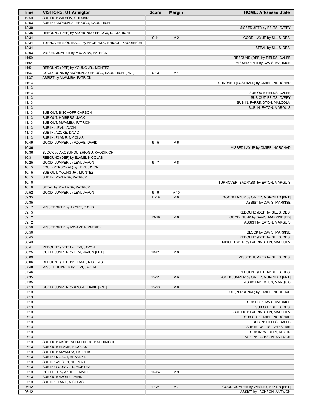| <b>Time</b> | <b>VISITORS: UT Arlington</b>                      | <b>Score</b> | <b>Margin</b>  | <b>HOME: Arkansas State</b>           |
|-------------|----------------------------------------------------|--------------|----------------|---------------------------------------|
| 12:53       | SUB OUT: WILSON, SHEMAR                            |              |                |                                       |
| 12:53       | SUB IN: AKOBUNDU-EHIOGU, KAODIRICHI                |              |                |                                       |
| 12:39       |                                                    |              |                | MISSED 3PTR by FELTS, AVERY           |
| 12:35       | REBOUND (DEF) by AKOBUNDU-EHIOGU, KAODIRICHI       |              |                |                                       |
| 12:34       |                                                    | $9 - 11$     | V <sub>2</sub> | GOOD! LAYUP by SILLS, DESI            |
| 12:34       | TURNOVER (LOSTBALL) by AKOBUNDU-EHIOGU, KAODIRICHI |              |                |                                       |
| 12:34       |                                                    |              |                | STEAL by SILLS, DESI                  |
| 12:03       | MISSED JUMPER by MWAMBA, PATRICK                   |              |                |                                       |
| 11:59       |                                                    |              |                | REBOUND (DEF) by FIELDS, CALEB        |
| 11:54       |                                                    |              |                | MISSED 3PTR by DAVIS, MARKISE         |
| 11:51       | REBOUND (DEF) by YOUNG JR., MONTEZ                 |              |                |                                       |
| 11:37       | GOOD! DUNK by AKOBUNDU-EHIOGU, KAODIRICHI [PNT]    | $9 - 13$     | V <sub>4</sub> |                                       |
| 11:37       | ASSIST by MWAMBA, PATRICK                          |              |                |                                       |
| 11:13       |                                                    |              |                | TURNOVER (LOSTBALL) by OMIER, NORCHAD |
| 11:13       |                                                    |              |                |                                       |
| 11:13       |                                                    |              |                | SUB OUT: FIELDS, CALEB                |
| 11:13       |                                                    |              |                | SUB OUT: FELTS, AVERY                 |
| 11:13       |                                                    |              |                | SUB IN: FARRINGTON, MALCOLM           |
| 11:13       |                                                    |              |                | SUB IN: EATON, MARQUIS                |
| 11:13       | SUB OUT: BISCHOFF, CARSON                          |              |                |                                       |
| 11:13       | SUB OUT: HOIBERG, JACK                             |              |                |                                       |
| 11:13       | SUB OUT: MWAMBA, PATRICK                           |              |                |                                       |
| 11:13       | SUB IN: LEVI, JAVON                                |              |                |                                       |
| 11:13       | SUB IN: AZORE, DAVID                               |              |                |                                       |
| 11:13       | SUB IN: ELAME, NICOLAS                             |              |                |                                       |
| 10:49       | GOOD! JUMPER by AZORE, DAVID                       | $9 - 15$     | $V_6$          |                                       |
| 10:36       |                                                    |              |                | MISSED LAYUP by OMIER, NORCHAD        |
| 10:36       | BLOCK by AKOBUNDU-EHIOGU, KAODIRICHI               |              |                |                                       |
| 10:31       | REBOUND (DEF) by ELAME, NICOLAS                    |              |                |                                       |
| 10:25       | GOOD! JUMPER by LEVI, JAVON                        | $9 - 17$     | $V_8$          |                                       |
| 10:15       | FOUL (PERSONAL) by LEVI, JAVON                     |              |                |                                       |
| 10:15       | SUB OUT: YOUNG JR., MONTEZ                         |              |                |                                       |
| 10:15       |                                                    |              |                |                                       |
|             | SUB IN: MWAMBA, PATRICK                            |              |                |                                       |
| 10:10       |                                                    |              |                | TURNOVER (BADPASS) by EATON, MARQUIS  |
| 10:10       | STEAL by MWAMBA, PATRICK                           |              |                |                                       |
| 09:52       | GOOD! JUMPER by LEVI, JAVON                        | $9 - 19$     | $V$ 10         |                                       |
| 09:35       |                                                    | $11 - 19$    | V8             | GOOD! LAYUP by OMIER, NORCHAD [PNT]   |
| 09:35       |                                                    |              |                | ASSIST by DAVIS, MARKISE              |
| 09:17       | MISSED 3PTR by AZORE, DAVID                        |              |                |                                       |
| 09:15       |                                                    |              |                | REBOUND (DEF) by SILLS, DESI          |
| 09:12       |                                                    | $13-19$      | $V_6$          | GOOD! DUNK by DAVIS, MARKISE [FB]     |
| 09:12       |                                                    |              |                | ASSIST by EATON, MARQUIS              |
| 08:50       | MISSED 3PTR by MWAMBA, PATRICK                     |              |                |                                       |
| 08:50       |                                                    |              |                | BLOCK by DAVIS, MARKISE               |
| 08:45       |                                                    |              |                | REBOUND (DEF) by SILLS, DESI          |
| 08:43       |                                                    |              |                | MISSED 3PTR by FARRINGTON, MALCOLM    |
| 08:41       | REBOUND (DEF) by LEVI, JAVON                       |              |                |                                       |
| 08:25       | GOOD! JUMPER by LEVI, JAVON [PNT]                  | $13 - 21$    | V8             |                                       |
| 08:09       |                                                    |              |                | MISSED JUMPER by SILLS, DESI          |
| 08:06       | REBOUND (DEF) by ELAME, NICOLAS                    |              |                |                                       |
| 07:48       | MISSED JUMPER by LEVI, JAVON                       |              |                |                                       |
| 07:46       |                                                    |              |                | REBOUND (DEF) by SILLS, DESI          |
| 07:35       |                                                    | $15 - 21$    | $V_6$          | GOOD! JUMPER by OMIER, NORCHAD [PNT]  |
| 07:35       |                                                    |              |                | ASSIST by EATON, MARQUIS              |
| 07:13       | GOOD! JUMPER by AZORE, DAVID [PNT]                 | $15 - 23$    | V8             |                                       |
| 07:13       |                                                    |              |                | FOUL (PERSONAL) by OMIER, NORCHAD     |
| 07:13       |                                                    |              |                |                                       |
| 07:13       |                                                    |              |                | SUB OUT: DAVIS, MARKISE               |
| 07:13       |                                                    |              |                | SUB OUT: SILLS, DESI                  |
| 07:13       |                                                    |              |                | SUB OUT: FARRINGTON, MALCOLM          |
| 07:13       |                                                    |              |                | SUB OUT: OMIER, NORCHAD               |
| 07:13       |                                                    |              |                | SUB IN: FIELDS, CALEB                 |
| 07:13       |                                                    |              |                | SUB IN: WILLIS, CHRISTIAN             |
| 07:13       |                                                    |              |                | SUB IN: WESLEY, KEYON                 |
| 07:13       |                                                    |              |                | SUB IN: JACKSON, ANTWON               |
| 07:13       | SUB OUT: AKOBUNDU-EHIOGU, KAODIRICHI               |              |                |                                       |
| 07:13       | SUB OUT: ELAME, NICOLAS                            |              |                |                                       |
| 07:13       | SUB OUT: MWAMBA, PATRICK                           |              |                |                                       |
| 07:13       | SUB IN: TALBOT, BRANDYN                            |              |                |                                       |
| 07:13       | SUB IN: WILSON, SHEMAR                             |              |                |                                       |
| 07:13       | SUB IN: YOUNG JR., MONTEZ                          |              |                |                                       |
| 07:13       | GOOD! FT by AZORE, DAVID                           | $15 - 24$    | V <sub>9</sub> |                                       |
| 07:13       | SUB OUT: AZORE, DAVID                              |              |                |                                       |
| 07:13       | SUB IN: ELAME, NICOLAS                             |              |                |                                       |
| 06:42       |                                                    | $17 - 24$    | V <sub>7</sub> | GOOD! JUMPER by WESLEY, KEYON [PNT]   |
| 06:42       |                                                    |              |                | ASSIST by JACKSON, ANTWON             |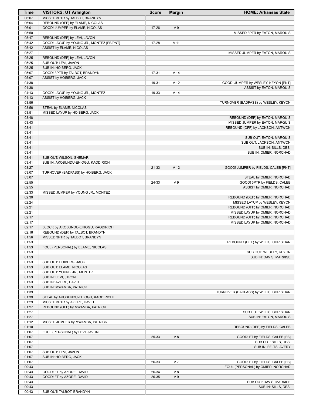| Time           | <b>VISITORS: UT Arlington</b>                 | <b>Score</b> | <b>Margin</b>   | <b>HOME: Arkansas State</b>                            |
|----------------|-----------------------------------------------|--------------|-----------------|--------------------------------------------------------|
| 06:07          | MISSED 3PTR by TALBOT, BRANDYN                |              |                 |                                                        |
| 06:04          | REBOUND (OFF) by ELAME, NICOLAS               |              |                 |                                                        |
| 06:01          | GOOD! JUMPER by ELAME, NICOLAS                | $17 - 26$    | V <sub>9</sub>  |                                                        |
| 05:50          |                                               |              |                 | MISSED 3PTR by EATON, MARQUIS                          |
| 05:47          | REBOUND (DEF) by LEVI, JAVON                  |              |                 |                                                        |
| 05:42          | GOOD! LAYUP by YOUNG JR., MONTEZ [FB/PNT]     | 17-28        | $V$ 11          |                                                        |
| 05:42          | ASSIST by ELAME, NICOLAS                      |              |                 |                                                        |
| 05:27          |                                               |              |                 | MISSED JUMPER by EATON, MARQUIS                        |
| 05:25          | REBOUND (DEF) by LEVI, JAVON                  |              |                 |                                                        |
| 05:25<br>05:25 | SUB OUT: LEVI, JAVON<br>SUB IN: HOIBERG, JACK |              |                 |                                                        |
| 05:07          | GOOD! 3PTR by TALBOT, BRANDYN                 | 17-31        | V <sub>14</sub> |                                                        |
| 05:07          | ASSIST by HOIBERG, JACK                       |              |                 |                                                        |
| 04:38          |                                               | 19-31        | V <sub>12</sub> | GOOD! JUMPER by WESLEY, KEYON [PNT]                    |
| 04:38          |                                               |              |                 | ASSIST by EATON, MARQUIS                               |
| 04:13          | GOOD! LAYUP by YOUNG JR., MONTEZ              | 19-33        | V <sub>14</sub> |                                                        |
| 04:13          | ASSIST by HOIBERG, JACK                       |              |                 |                                                        |
| 03:56          |                                               |              |                 | TURNOVER (BADPASS) by WESLEY, KEYON                    |
| 03:56          | STEAL by ELAME, NICOLAS                       |              |                 |                                                        |
| 03:51          | MISSED LAYUP by HOIBERG, JACK                 |              |                 |                                                        |
| 03:48          |                                               |              |                 | REBOUND (DEF) by EATON, MARQUIS                        |
| 03:43          |                                               |              |                 | MISSED JUMPER by EATON, MARQUIS                        |
| 03:41          |                                               |              |                 | REBOUND (OFF) by JACKSON, ANTWON                       |
| 03:41          |                                               |              |                 |                                                        |
| 03:41          |                                               |              |                 | SUB OUT: EATON, MARQUIS                                |
| 03:41          |                                               |              |                 | SUB OUT: JACKSON, ANTWON                               |
| 03:41          |                                               |              |                 | SUB IN: SILLS, DESI                                    |
| 03:41          |                                               |              |                 | SUB IN: OMIER, NORCHAD                                 |
| 03:41          | SUB OUT: WILSON, SHEMAR                       |              |                 |                                                        |
| 03:41          | SUB IN: AKOBUNDU-EHIOGU, KAODIRICHI           |              |                 |                                                        |
| 03:27          |                                               | 21-33        | V <sub>12</sub> | GOOD! JUMPER by FIELDS, CALEB [PNT]                    |
| 03:07<br>03:07 | TURNOVER (BADPASS) by HOIBERG, JACK           |              |                 |                                                        |
| 02:55          |                                               | 24-33        | V <sub>9</sub>  | STEAL by OMIER, NORCHAD<br>GOOD! 3PTR by FIELDS, CALEB |
| 02:55          |                                               |              |                 | ASSIST by OMIER, NORCHAD                               |
| 02:33          | MISSED JUMPER by YOUNG JR., MONTEZ            |              |                 |                                                        |
| 02:30          |                                               |              |                 | REBOUND (DEF) by OMIER, NORCHAD                        |
| 02:24          |                                               |              |                 | MISSED LAYUP by WESLEY, KEYON                          |
| 02:21          |                                               |              |                 | REBOUND (OFF) by OMIER, NORCHAD                        |
| 02:21          |                                               |              |                 | MISSED LAYUP by OMIER, NORCHAD                         |
| 02:17          |                                               |              |                 | REBOUND (OFF) by OMIER, NORCHAD                        |
| 02:17          |                                               |              |                 | MISSED LAYUP by OMIER, NORCHAD                         |
| 02:17          | BLOCK by AKOBUNDU-EHIOGU, KAODIRICHI          |              |                 |                                                        |
| 02:16          | REBOUND (DEF) by TALBOT, BRANDYN              |              |                 |                                                        |
| 01:56          | MISSED 3PTR by TALBOT, BRANDYN                |              |                 |                                                        |
| 01:53          |                                               |              |                 | REBOUND (DEF) by WILLIS, CHRISTIAN                     |
| 01:53          | FOUL (PERSONAL) by ELAME, NICOLAS             |              |                 |                                                        |
| 01:53          |                                               |              |                 | SUB OUT: WESLEY, KEYON                                 |
| 01:53          |                                               |              |                 | SUB IN: DAVIS, MARKISE                                 |
| 01:53          | SUB OUT: HOIBERG, JACK                        |              |                 |                                                        |
| 01:53          | SUB OUT: ELAME, NICOLAS                       |              |                 |                                                        |
| 01:53          | SUB OUT: YOUNG JR., MONTEZ                    |              |                 |                                                        |
| 01:53          | SUB IN: LEVI, JAVON                           |              |                 |                                                        |
| 01:53          | SUB IN: AZORE, DAVID                          |              |                 |                                                        |
| 01:53<br>01:39 | SUB IN: MWAMBA, PATRICK                       |              |                 | TURNOVER (BADPASS) by WILLIS, CHRISTIAN                |
| 01:39          | STEAL by AKOBUNDU-EHIOGU, KAODIRICHI          |              |                 |                                                        |
| 01:29          | MISSED 3PTR by AZORE, DAVID                   |              |                 |                                                        |
| 01:27          | REBOUND (OFF) by MWAMBA, PATRICK              |              |                 |                                                        |
| 01:27          |                                               |              |                 | SUB OUT: WILLIS, CHRISTIAN                             |
| 01:27          |                                               |              |                 | SUB IN: EATON, MARQUIS                                 |
| 01:12          | MISSED JUMPER by MWAMBA, PATRICK              |              |                 |                                                        |
| 01:10          |                                               |              |                 | REBOUND (DEF) by FIELDS, CALEB                         |
| 01:07          | FOUL (PERSONAL) by LEVI, JAVON                |              |                 |                                                        |
| 01:07          |                                               | 25-33        | V8              | GOOD! FT by FIELDS, CALEB [FB]                         |
| 01:07          |                                               |              |                 | SUB OUT: SILLS, DESI                                   |
| 01:07          |                                               |              |                 | SUB IN: FELTS, AVERY                                   |
| 01:07          | SUB OUT: LEVI, JAVON                          |              |                 |                                                        |
| 01:07          | SUB IN: HOIBERG, JACK                         |              |                 |                                                        |
| 01:07          |                                               | 26-33        | V <sub>7</sub>  | GOOD! FT by FIELDS, CALEB [FB]                         |
| 00:43          |                                               |              |                 | FOUL (PERSONAL) by OMIER, NORCHAD                      |
| 00:43          | GOOD! FT by AZORE, DAVID                      | 26-34        | V8              |                                                        |
| 00:43          | GOOD! FT by AZORE, DAVID                      | 26-35        | V <sub>9</sub>  |                                                        |
| 00:43          |                                               |              |                 | SUB OUT: DAVIS, MARKISE                                |
| 00:43          |                                               |              |                 | SUB IN: SILLS, DESI                                    |
| 00:43          | SUB OUT: TALBOT, BRANDYN                      |              |                 |                                                        |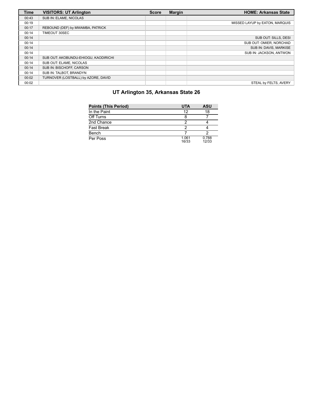| <b>Time</b> | <b>VISITORS: UT Arlington</b>        | <b>Score</b> | <b>Margin</b> | <b>HOME: Arkansas State</b>    |
|-------------|--------------------------------------|--------------|---------------|--------------------------------|
| 00:43       | SUB IN: ELAME. NICOLAS               |              |               |                                |
| 00:19       |                                      |              |               | MISSED LAYUP by EATON, MARQUIS |
| 00:17       | REBOUND (DEF) by MWAMBA, PATRICK     |              |               |                                |
| 00:14       | TIMEOUT 30SEC                        |              |               |                                |
| 00:14       |                                      |              |               | SUB OUT: SILLS, DESI           |
| 00:14       |                                      |              |               | SUB OUT: OMIER, NORCHAD        |
| 00:14       |                                      |              |               | SUB IN: DAVIS, MARKISE         |
| 00:14       |                                      |              |               | SUB IN: JACKSON, ANTWON        |
| 00:14       | SUB OUT: AKOBUNDU-EHIOGU, KAODIRICHI |              |               |                                |
| 00:14       | SUB OUT: ELAME, NICOLAS              |              |               |                                |
| 00:14       | SUB IN: BISCHOFF, CARSON             |              |               |                                |
| 00:14       | SUB IN: TALBOT, BRANDYN              |              |               |                                |
| 00:02       | TURNOVER (LOSTBALL) by AZORE, DAVID  |              |               |                                |
| 00:02       |                                      |              |               | STEAL by FELTS, AVERY          |

# **UT Arlington 35, Arkansas State 26**

| <b>Points (This Period)</b> | <b>UTA</b>     | ASU            |
|-----------------------------|----------------|----------------|
| In the Paint                | 12             | 18             |
| Off Turns                   |                |                |
| 2nd Chance                  | າ              |                |
| <b>Fast Break</b>           | າ              |                |
| Bench                       |                |                |
| Per Poss                    | 1.061<br>16/33 | 0.788<br>12/33 |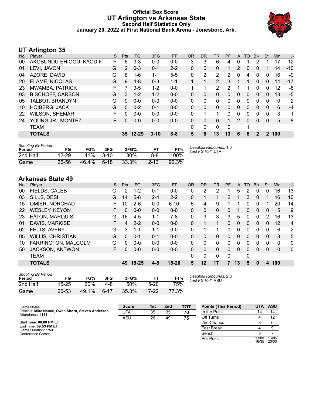## **Official Box Score UT Arlington vs Arkansas State Second Half Statistics Only January 20, 2022 at First National Bank Arena - Jonesboro, Ark.**



# **UT Arlington 35**

| No. | Player                  | S  | <b>Pts</b>    | FG        | 3FG      | <b>FT</b> | <b>OR</b> | <b>DR</b> | <b>TR</b>      | PF | A | <b>TO</b> | <b>Blk</b> | Stl      | Min | $+/-$ |
|-----|-------------------------|----|---------------|-----------|----------|-----------|-----------|-----------|----------------|----|---|-----------|------------|----------|-----|-------|
| 00  | AKOBUNDU-EHIOGU, KAODIF | F  | 6             | $3 - 3$   | $0 - 0$  | $0-0$     | 3         | 3         | 6              | 4  | 0 |           |            |          | 17  | $-12$ |
| 01  | LEVI, JAVON             | G  | $\mathcal{P}$ | $0 - 3$   | $0 - 1$  | $2 - 2$   | 0         | 0         | 0              | 1  | 2 | 0         | 0          |          | 14  | $-10$ |
| 04  | AZORE, DAVID            | G  | 8             | $1 - 6$   | $1 - 1$  | $5 - 5$   | 0         | 2         | 2              | 2  | 0 | 4         | 0          | 0        | 16  | -9    |
| 20  | <b>ELAME, NICOLAS</b>   | G  | 9             | $4 - 8$   | $0 - 3$  | $1 - 1$   |           | 1         | $\overline{2}$ | 3  |   | 1         | $\Omega$   | $\Omega$ | 14  | $-17$ |
| 23  | MWAMBA, PATRICK         | F  |               | $3 - 5$   | $1 - 2$  | $0 - 0$   |           |           | 2              | 2  |   |           | 0          | 0        | 12  | -8    |
| 03  | <b>BISCHOFF, CARSON</b> | G  | 3             | $1 - 2$   | $1 - 2$  | $0 - 0$   | 0         | 0         | 0              | 0  | 0 | 0         | 0          | 0        | 13  | $-5$  |
| 05  | TALBOT, BRANDYN         | G  | 0             | $0 - 0$   | $0 - 0$  | $0 - 0$   | 0         | 0         | 0              | 0  | 0 | 0         | 0          | 0        | 0   | 2     |
| 10  | <b>HOIBERG, JACK</b>    | G  | $\Omega$      | $0 - 2$   | $0 - 1$  | $0 - 0$   | 0         | 0         | $\Omega$       | 0  | 0 | $\Omega$  | $\Omega$   | $\Omega$ | 6   | $-4$  |
| 22  | <b>WILSON, SHEMAR</b>   | F. | $\Omega$      | $0 - 0$   | $0 - 0$  | $0 - 0$   | 0         | 1         | 1              | 0  | 0 | $\Omega$  | $\Omega$   | $\Omega$ | 3   | 1     |
| 24  | YOUNG JR., MONTEZ       | F. | 0             | $0 - 0$   | $0 - 0$  | $0 - 0$   | 0         | 0         | 0              |    | 2 | $\Omega$  | $\Omega$   | 0        | 5   | -8    |
|     | TEAM                    |    |               |           |          |           | 0         | 0         | 0              | 0  |   |           |            |          |     |       |
|     | <b>TOTALS</b>           |    | 35            | $12 - 29$ | $3 - 10$ | $8 - 8$   | 5         | 8         | 13             | 13 | 6 | 8         | 2          | 2        | 100 |       |
|     |                         |    |               |           |          |           |           |           |                |    |   |           |            |          |     |       |

| <b>Shooting By Period</b><br>Period | FG        | FG%   | 3FG    | 3FG%  | <b>FT</b> | FT%   | Deadball Rebounds: 1,0<br>Last FG Half: UTA - |
|-------------------------------------|-----------|-------|--------|-------|-----------|-------|-----------------------------------------------|
| 2nd Half                            | $12 - 29$ | 41%   | $3-10$ | 30%   | 8-8       | 100%  |                                               |
| Game                                | 26-56     | 46.4% | $6-18$ | 33.3% | $12 - 13$ | 92.3% |                                               |

## **Arkansas State 49**

| No. | Plaver                   | S | <b>Pts</b>     | <b>FG</b> | 3FG     | <b>FT</b> | <b>OR</b> | DR | TR           | PF       | A        | TO | <b>Blk</b>     | Stl      | Min      | $+/-$       |
|-----|--------------------------|---|----------------|-----------|---------|-----------|-----------|----|--------------|----------|----------|----|----------------|----------|----------|-------------|
| 00  | FIELDS, CALEB            | G | 2              | $1 - 2$   | $0 - 1$ | $0 - 0$   | 0         | 2  | 2            |          | 5        | 2  | 0              | $\Omega$ | 16       | 13          |
| 03  | SILLS, DESI              | G | 14             | $5-8$     | $2 - 4$ | $2 - 2$   | 0         |    |              | 2        |          | 3  | 0              |          | 16       | 10          |
| 15  | OMIER, NORCHAD           | F | 10             | $2-6$     | $0 - 0$ | $6 - 10$  | 5         | 4  | 9            |          |          | 0  | 0              |          | 20       | 14          |
| 22  | <b>WESLEY, KEYON</b>     | F | 0              | $0 - 0$   | $0 - 0$ | $0 - 0$   | 0         | 0  | $\Omega$     | 0        |          | 0  | 0              | 0        | 5        | 9           |
| 23  | <b>EATON, MARQUIS</b>    | G | 16             | $4 - 5$   | $1 - 1$ | 7-8       | 0         | 3  | 3            | 3        | 5        | 0  | 0              | 2        | 16       | 13          |
| 01  | DAVIS, MARKISE           | F | $\overline{4}$ | $2 - 2$   | $0 - 0$ | $0 - 0$   | $\Omega$  |    |              | 0        | $\Omega$ | 0  | $\Omega$       | 0        | 12       | 4           |
| 02  | FELTS, AVERY             | G | 3              | 1-1       | $1 - 1$ | $0 - 0$   | 0         |    |              | 0        | 0        | 0  | 0              | 0        | 6        | 2           |
| 05  | <b>WILLIS, CHRISTIAN</b> | G | 0              | $0 - 1$   | $0 - 1$ | $0 - 0$   | 0         | 0  | $\mathbf{0}$ | 0        | 0        | 0  | $\overline{0}$ | 0        | 8        | 5           |
| 10  | FARRINGTON, MALCOLM      | G | 0              | $0 - 0$   | $0 - 0$ | $0 - 0$   | 0         | 0  | 0            | 0        | 0        | O  | 0              | 0        | 0        | 0           |
| 50  | <b>JACKSON, ANTWON</b>   | F | 0              | $0 - 0$   | $0 - 0$ | $0 - 0$   | 0         | 0  | $\Omega$     | 0        | 0        | 0  | $\Omega$       | $\Omega$ | $\Omega$ | $\mathbf 0$ |
|     | <b>TEAM</b>              |   |                |           |         |           | 0         | 0  | $\Omega$     | $\Omega$ |          | 0  |                |          |          |             |
|     | <b>TOTALS</b>            |   | 49             | $15 - 25$ | $4 - 8$ | $15 - 20$ | 5         | 12 | 17           | 7        | 13       | 5  | $\bf{0}$       | 4        | 100      |             |

| <b>Shooting By Period</b><br>Period | FG    | FG%   | 3FG  | 3FG%  |           | FT%   |
|-------------------------------------|-------|-------|------|-------|-----------|-------|
| 2nd Half                            | 15-25 | 60%   | 4-8  | 50%   | $15-20$   | 75%   |
| Game                                | 26-53 | 49.1% | հ-17 | 35.3% | $17 - 22$ | 77.3% |

*Deadball Rebounds:* 2,0 *Last FG Half:* ASU -

| Game Notes:                                                             | <b>Score</b> | 1st | 2 <sub>nd</sub> | TOT | <b>Points (This Period)</b> | <b>UTA</b>     | ASU            |
|-------------------------------------------------------------------------|--------------|-----|-----------------|-----|-----------------------------|----------------|----------------|
| Officials: Mike Nance, Owen Shortt, Steven Anderson<br>Attendance: 1161 | UTA          | 35  | 35              | 70  | In the Paint                |                | 14             |
|                                                                         | ASU          | 26  | 49              | 75  | Off Turns                   |                |                |
| Start Time: 08:00 PM ET                                                 |              |     |                 |     | 2nd Chance                  |                | 6              |
| End Time: 09:53 PM ET<br>Game Duration: 1:53                            |              |     |                 |     | Fast Break                  |                |                |
| Conference Game:                                                        |              |     |                 |     | Bench                       |                |                |
|                                                                         |              |     |                 |     | Per Poss                    | 1.000<br>16/35 | 1.485<br>23/33 |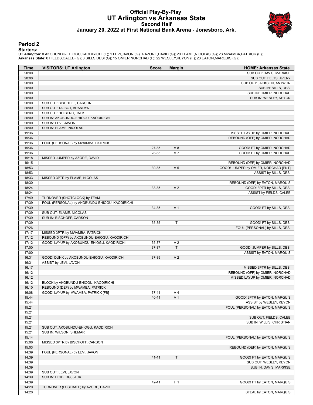#### **Official Play-By-Play UT Arlington vs Arkansas State Second Half January 20, 2022 at First National Bank Arena - Jonesboro, Ark.**



#### **Period 2**

#### **Starters:**

**UT Arlington**: 0 AKOBUNDU-EHIOGU,KAODIRICHI (F); 1 LEVI,JAVON (G); 4 AZORE,DAVID (G); 20 ELAME,NICOLAS (G); 23 MWAMBA,PATRICK (F);<br>**Arkansas State**: 0 FIELDS,CALEB (G); 3 SILLS,DESI (G); 15 OMIER,NORCHAD (F); 22 WESLEY,KE

| Time           | <b>VISITORS: UT Arlington</b>                                           | <b>Score</b> | <b>Margin</b>                    | <b>HOME: Arkansas State</b>                             |
|----------------|-------------------------------------------------------------------------|--------------|----------------------------------|---------------------------------------------------------|
| 20:00          |                                                                         |              |                                  | SUB OUT: DAVIS, MARKISE                                 |
| 20:00          |                                                                         |              |                                  | SUB OUT: FELTS, AVERY                                   |
| 20:00          |                                                                         |              |                                  | SUB OUT: JACKSON, ANTWON                                |
| 20:00          |                                                                         |              |                                  | SUB IN: SILLS, DESI                                     |
| 20:00          |                                                                         |              |                                  | SUB IN: OMIER, NORCHAD                                  |
| 20:00          |                                                                         |              |                                  | SUB IN: WESLEY, KEYON                                   |
| 20:00          | SUB OUT: BISCHOFF, CARSON                                               |              |                                  |                                                         |
| 20:00          | SUB OUT: TALBOT, BRANDYN                                                |              |                                  |                                                         |
| 20:00          | SUB OUT: HOIBERG, JACK                                                  |              |                                  |                                                         |
| 20:00          | SUB IN: AKOBUNDU-EHIOGU, KAODIRICHI                                     |              |                                  |                                                         |
| 20:00          | SUB IN: LEVI, JAVON                                                     |              |                                  |                                                         |
| 20:00<br>19:36 | SUB IN: ELAME, NICOLAS                                                  |              |                                  | MISSED LAYUP by OMIER, NORCHAD                          |
| 19:36          |                                                                         |              |                                  | REBOUND (OFF) by OMIER, NORCHAD                         |
| 19:36          | FOUL (PERSONAL) by MWAMBA, PATRICK                                      |              |                                  |                                                         |
| 19:36          |                                                                         | 27-35        | V8                               | GOOD! FT by OMIER, NORCHAD                              |
| 19:36          |                                                                         | 28-35        | V <sub>7</sub>                   | GOOD! FT by OMIER, NORCHAD                              |
| 19:18          | MISSED JUMPER by AZORE, DAVID                                           |              |                                  |                                                         |
| 19:15          |                                                                         |              |                                  | REBOUND (DEF) by OMIER, NORCHAD                         |
| 18:53          |                                                                         | 30-35        | V <sub>5</sub>                   | GOOD! JUMPER by OMIER, NORCHAD [PNT]                    |
| 18:53          |                                                                         |              |                                  | ASSIST by SILLS, DESI                                   |
| 18:33          | MISSED 3PTR by ELAME, NICOLAS                                           |              |                                  |                                                         |
| 18:30          |                                                                         |              |                                  | REBOUND (DEF) by EATON, MARQUIS                         |
| 18:24          |                                                                         | 33-35        | V <sub>2</sub>                   | GOOD! 3PTR by SILLS, DESI                               |
| 18:24          |                                                                         |              |                                  | ASSIST by FIELDS, CALEB                                 |
| 17:49          | TURNOVER (SHOTCLOCK) by TEAM                                            |              |                                  |                                                         |
| 17:39          | FOUL (PERSONAL) by AKOBUNDU-EHIOGU, KAODIRICHI                          |              |                                  |                                                         |
| 17:39          |                                                                         | 34-35        | V <sub>1</sub>                   | GOOD! FT by SILLS, DESI                                 |
| 17:39          | SUB OUT: ELAME, NICOLAS                                                 |              |                                  |                                                         |
| 17:39          | SUB IN: BISCHOFF, CARSON                                                |              |                                  |                                                         |
| 17:39          |                                                                         | 35-35        | T                                | GOOD! FT by SILLS, DESI                                 |
| 17:26          |                                                                         |              |                                  | FOUL (PERSONAL) by SILLS, DESI                          |
| 17:17          | MISSED 3PTR by MWAMBA, PATRICK                                          |              |                                  |                                                         |
| 17:12          | REBOUND (OFF) by AKOBUNDU-EHIOGU, KAODIRICHI                            |              |                                  |                                                         |
| 17:12          | GOOD! LAYUP by AKOBUNDU-EHIOGU, KAODIRICHI                              | 35-37        | V <sub>2</sub>                   |                                                         |
| 17:00          |                                                                         | 37-37        | $\mathsf T$                      | GOOD! JUMPER by SILLS, DESI                             |
| 17:00          |                                                                         |              |                                  | ASSIST by EATON, MARQUIS                                |
| 16:31          | GOOD! DUNK by AKOBUNDU-EHIOGU, KAODIRICHI                               | 37-39        | V <sub>2</sub>                   |                                                         |
| 16:31          | ASSIST by LEVI, JAVON                                                   |              |                                  |                                                         |
| 16:17          |                                                                         |              |                                  | MISSED 3PTR by SILLS, DESI                              |
| 16:12          |                                                                         |              |                                  | REBOUND (OFF) by OMIER, NORCHAD                         |
| 16:12          |                                                                         |              |                                  | MISSED LAYUP by OMIER, NORCHAD                          |
| 16:12          | BLOCK by AKOBUNDU-EHIOGU, KAODIRICHI                                    |              |                                  |                                                         |
| 16:10          | REBOUND (DEF) by MWAMBA, PATRICK<br>GOOD! LAYUP by MWAMBA, PATRICK [FB] |              |                                  |                                                         |
| 16:08          |                                                                         | 37-41        | V <sub>4</sub><br>V <sub>1</sub> |                                                         |
| 15:44<br>15:44 |                                                                         | 40-41        |                                  | GOOD! 3PTR by EATON, MARQUIS<br>ASSIST by WESLEY, KEYON |
| 15:21          |                                                                         |              |                                  | FOUL (PERSONAL) by EATON, MARQUIS                       |
| 15:21          |                                                                         |              |                                  |                                                         |
| 15:21          |                                                                         |              |                                  | SUB OUT: FIELDS, CALEB                                  |
| 15:21          |                                                                         |              |                                  | SUB IN: WILLIS, CHRISTIAN                               |
| 15:21          | SUB OUT: AKOBUNDU-EHIOGU, KAODIRICHI                                    |              |                                  |                                                         |
| 15:21          | SUB IN: WILSON, SHEMAR                                                  |              |                                  |                                                         |
| 15:14          |                                                                         |              |                                  | FOUL (PERSONAL) by EATON, MARQUIS                       |
| 15:06          | MISSED 3PTR by BISCHOFF, CARSON                                         |              |                                  |                                                         |
| 15:03          |                                                                         |              |                                  | REBOUND (DEF) by EATON, MARQUIS                         |
| 14:39          | FOUL (PERSONAL) by LEVI, JAVON                                          |              |                                  |                                                         |
| 14:39          |                                                                         | $41 - 41$    | $\top$                           | GOOD! FT by EATON, MARQUIS                              |
| 14:39          |                                                                         |              |                                  | SUB OUT: WESLEY, KEYON                                  |
| 14:39          |                                                                         |              |                                  | SUB IN: DAVIS, MARKISE                                  |
| 14:39          | SUB OUT: LEVI, JAVON                                                    |              |                                  |                                                         |
| 14:39          | SUB IN: HOIBERG, JACK                                                   |              |                                  |                                                         |
| 14:39          |                                                                         | 42-41        | H <sub>1</sub>                   | GOOD! FT by EATON, MARQUIS                              |
| 14:20          | TURNOVER (LOSTBALL) by AZORE, DAVID                                     |              |                                  |                                                         |
| 14:20          |                                                                         |              |                                  | STEAL by EATON, MARQUIS                                 |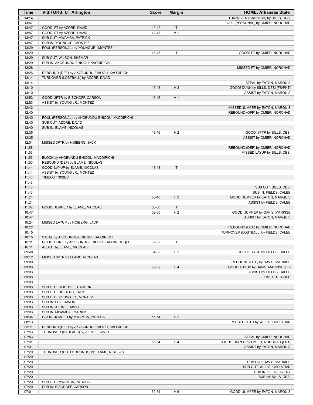| Time           | <b>VISITORS: UT Arlington</b>                                           | <b>Score</b>   | <b>Margin</b>       | <b>HOME: Arkansas State</b>          |
|----------------|-------------------------------------------------------------------------|----------------|---------------------|--------------------------------------|
| 14:14          |                                                                         |                |                     | TURNOVER (BADPASS) by SILLS, DESI    |
| 13:47          |                                                                         |                |                     | FOUL (PERSONAL) by OMIER, NORCHAD    |
| 13:47          | GOOD! FT by AZORE, DAVID                                                | 42-42          | T                   |                                      |
| 13:47<br>13:47 | GOOD! FT by AZORE, DAVID<br>SUB OUT: MWAMBA, PATRICK                    | 42-43          | V <sub>1</sub>      |                                      |
| 13:47          | SUB IN: YOUNG JR., MONTEZ                                               |                |                     |                                      |
| 13:29          | FOUL (PERSONAL) by YOUNG JR., MONTEZ                                    |                |                     |                                      |
| 13:29          |                                                                         | 43-43          | T                   | GOOD! FT by OMIER, NORCHAD           |
| 13:29          | SUB OUT: WILSON, SHEMAR                                                 |                |                     |                                      |
| 13:29          | SUB IN: AKOBUNDU-EHIOGU, KAODIRICHI                                     |                |                     |                                      |
| 13:28          |                                                                         |                |                     | MISSED FT by OMIER, NORCHAD          |
| 13:26          | REBOUND (DEF) by AKOBUNDU-EHIOGU, KAODIRICHI                            |                |                     |                                      |
| 13:14<br>13:14 | TURNOVER (LOSTBALL) by AZORE, DAVID                                     |                |                     | STEAL by EATON, MARQUIS              |
| 13:10          |                                                                         | 45-43          | H <sub>2</sub>      | GOOD! DUNK by SILLS, DESI [FB/PNT]   |
| 13:10          |                                                                         |                |                     | ASSIST by EATON, MARQUIS             |
| 12:53          | GOOD! 3PTR by BISCHOFF, CARSON                                          | 45-46          | V <sub>1</sub>      |                                      |
| 12:53          | ASSIST by YOUNG JR., MONTEZ                                             |                |                     |                                      |
| 12:42          |                                                                         |                |                     | MISSED JUMPER by EATON, MARQUIS      |
| 12:40          |                                                                         |                |                     | REBOUND (OFF) by OMIER, NORCHAD      |
| 12:40          | FOUL (PERSONAL) by AKOBUNDU-EHIOGU, KAODIRICHI<br>SUB OUT: AZORE, DAVID |                |                     |                                      |
| 12:40<br>12:40 | SUB IN: ELAME, NICOLAS                                                  |                |                     |                                      |
| 12:35          |                                                                         | 48-46          | H <sub>2</sub>      | GOOD! 3PTR by SILLS, DESI            |
| 12:35          |                                                                         |                |                     | ASSIST by OMIER, NORCHAD             |
| 12:01          | MISSED 3PTR by HOIBERG, JACK                                            |                |                     |                                      |
| 11:58          |                                                                         |                |                     | REBOUND (DEF) by OMIER, NORCHAD      |
| 11:53          |                                                                         |                |                     | MISSED LAYUP by SILLS, DESI          |
| 11:53          | BLOCK by AKOBUNDU-EHIOGU, KAODIRICHI                                    |                |                     |                                      |
| 11:50          | REBOUND (DEF) by ELAME, NICOLAS                                         |                |                     |                                      |
| 11:44<br>11:44 | GOOD! LAYUP by ELAME, NICOLAS<br>ASSIST by YOUNG JR., MONTEZ            | 48-48          | T                   |                                      |
| 11:43          | TIMEOUT 30SEC                                                           |                |                     |                                      |
| 11:43          |                                                                         |                |                     |                                      |
| 11:43          |                                                                         |                |                     | SUB OUT: SILLS, DESI                 |
| 11:43          |                                                                         |                |                     | SUB IN: FIELDS, CALEB                |
| 11:24          |                                                                         | 50-48          | H <sub>2</sub>      | GOOD! JUMPER by EATON, MARQUIS       |
| 11:24          |                                                                         |                |                     | ASSIST by FIELDS, CALEB              |
| 11:02<br>10:47 | GOOD! JUMPER by ELAME, NICOLAS                                          | 50-50<br>52-50 | T<br>H <sub>2</sub> | GOOD! JUMPER by DAVIS, MARKISE       |
| 10:47          |                                                                         |                |                     | ASSIST by EATON, MARQUIS             |
| 10:24          | MISSED LAYUP by HOIBERG, JACK                                           |                |                     |                                      |
| 10:22          |                                                                         |                |                     | REBOUND (DEF) by OMIER, NORCHAD      |
| 10:15          |                                                                         |                |                     | TURNOVER (LOSTBALL) by FIELDS, CALEB |
| 10:15          | STEAL by AKOBUNDU-EHIOGU, KAODIRICHI                                    |                |                     |                                      |
| 10:11          | GOOD! DUNK by AKOBUNDU-EHIOGU, KAODIRICHI [FB]                          | 52-52          | т                   |                                      |
| 10:11          | ASSIST by ELAME, NICOLAS                                                |                |                     |                                      |
| 09:48<br>09:12 | MISSED 3PTR by ELAME, NICOLAS                                           | 54-52          | H <sub>2</sub>      | GOOD! LAYUP by FIELDS, CALEB         |
| 09:09          |                                                                         |                |                     | REBOUND (DEF) by DAVIS, MARKISE      |
| 09:03          |                                                                         | 56-52          | H4                  | GOOD! LAYUP by DAVIS, MARKISE [FB]   |
| 09:03          |                                                                         |                |                     | ASSIST by FIELDS, CALEB              |
| 09:03          |                                                                         |                |                     | TIMEOUT 30SEC                        |
| 09:03          |                                                                         |                |                     |                                      |
| 09:03          | SUB OUT: BISCHOFF, CARSON                                               |                |                     |                                      |
| 09:03          | SUB OUT: HOIBERG, JACK                                                  |                |                     |                                      |
| 09:03<br>09:03 | SUB OUT: YOUNG JR., MONTEZ<br>SUB IN: LEVI, JAVON                       |                |                     |                                      |
| 09:03          | SUB IN: AZORE, DAVID                                                    |                |                     |                                      |
| 09:03          | SUB IN: MWAMBA, PATRICK                                                 |                |                     |                                      |
| 08:34          | GOOD! JUMPER by MWAMBA, PATRICK                                         | 56-54          | H <sub>2</sub>      |                                      |
| 08:13          |                                                                         |                |                     | MISSED 3PTR by WILLIS, CHRISTIAN     |
| 08:11          | REBOUND (DEF) by AKOBUNDU-EHIOGU, KAODIRICHI                            |                |                     |                                      |
| 07:53          | TURNOVER (BADPASS) by AZORE, DAVID                                      |                |                     |                                      |
| 07:53          |                                                                         |                |                     | STEAL by OMIER, NORCHAD              |
| 07:31<br>07:31 |                                                                         | 58-54          | H4                  | GOOD! JUMPER by OMIER, NORCHAD [PNT] |
| 07:20          | TURNOVER (OUTOFBOUNDS) by ELAME, NICOLAS                                |                |                     | ASSIST by EATON, MARQUIS             |
| 07:20          |                                                                         |                |                     |                                      |
| 07:20          |                                                                         |                |                     | SUB OUT: DAVIS, MARKISE              |
| 07:20          |                                                                         |                |                     | SUB OUT: WILLIS, CHRISTIAN           |
| 07:20          |                                                                         |                |                     | SUB IN: FELTS, AVERY                 |
| 07:20          |                                                                         |                |                     | SUB IN: SILLS, DESI                  |
| 07:20          | SUB OUT: MWAMBA, PATRICK                                                |                |                     |                                      |
| 07:20<br>07:01 | SUB IN: BISCHOFF, CARSON                                                | 60-54          | H <sub>6</sub>      | GOOD! JUMPER by EATON, MARQUIS       |
|                |                                                                         |                |                     |                                      |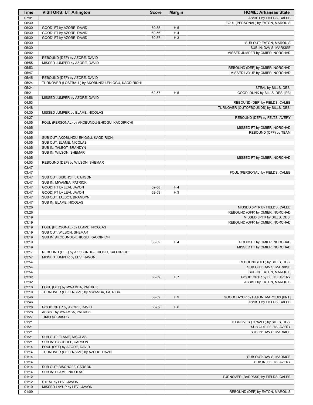| Time           | <b>VISITORS: UT Arlington</b>                        | <b>Score</b>   | <b>Margin</b>        | <b>HOME: Arkansas State</b>                                    |
|----------------|------------------------------------------------------|----------------|----------------------|----------------------------------------------------------------|
| 07:01          |                                                      |                |                      | ASSIST by FIELDS, CALEB                                        |
| 06:30          |                                                      |                |                      | FOUL (PERSONAL) by EATON, MARQUIS                              |
| 06:30          | GOOD! FT by AZORE, DAVID                             | 60-55          | H <sub>5</sub>       |                                                                |
| 06:30<br>06:30 | GOOD! FT by AZORE, DAVID<br>GOOD! FT by AZORE, DAVID | 60-56<br>60-57 | H4<br>H <sub>3</sub> |                                                                |
| 06:30          |                                                      |                |                      | SUB OUT: EATON, MARQUIS                                        |
| 06:30          |                                                      |                |                      | SUB IN: DAVIS, MARKISE                                         |
| 06:02          |                                                      |                |                      | MISSED JUMPER by OMIER, NORCHAD                                |
| 06:00          | REBOUND (DEF) by AZORE, DAVID                        |                |                      |                                                                |
| 05:55          | MISSED JUMPER by AZORE, DAVID                        |                |                      |                                                                |
| 05:53          |                                                      |                |                      | REBOUND (DEF) by OMIER, NORCHAD                                |
| 05:47          |                                                      |                |                      | MISSED LAYUP by OMIER, NORCHAD                                 |
| 05:45          | REBOUND (DEF) by AZORE, DAVID                        |                |                      |                                                                |
| 05:24          | TURNOVER (LOSTBALL) by AKOBUNDU-EHIOGU, KAODIRICHI   |                |                      |                                                                |
| 05:24<br>05:21 |                                                      | 62-57          | H <sub>5</sub>       | STEAL by SILLS, DESI<br>GOOD! DUNK by SILLS, DESI [FB]         |
| 04:56          | MISSED JUMPER by AZORE, DAVID                        |                |                      |                                                                |
| 04:53          |                                                      |                |                      | REBOUND (DEF) by FIELDS, CALEB                                 |
| 04:48          |                                                      |                |                      | TURNOVER (OUTOFBOUNDS) by SILLS, DESI                          |
| 04:30          | MISSED JUMPER by ELAME, NICOLAS                      |                |                      |                                                                |
| 04:27          |                                                      |                |                      | REBOUND (DEF) by FELTS, AVERY                                  |
| 04:05          | FOUL (PERSONAL) by AKOBUNDU-EHIOGU, KAODIRICHI       |                |                      |                                                                |
| 04:05          |                                                      |                |                      | MISSED FT by OMIER, NORCHAD                                    |
| 04:05          |                                                      |                |                      | REBOUND (OFF) by TEAM                                          |
| 04:05          | SUB OUT: AKOBUNDU-EHIOGU, KAODIRICHI                 |                |                      |                                                                |
| 04:05<br>04:05 | SUB OUT: ELAME, NICOLAS<br>SUB IN: TALBOT, BRANDYN   |                |                      |                                                                |
| 04:05          | SUB IN: WILSON, SHEMAR                               |                |                      |                                                                |
| 04:05          |                                                      |                |                      | MISSED FT by OMIER, NORCHAD                                    |
| 04:03          | REBOUND (DEF) by WILSON, SHEMAR                      |                |                      |                                                                |
| 03:47          |                                                      |                |                      |                                                                |
| 03:47          |                                                      |                |                      | FOUL (PERSONAL) by FIELDS, CALEB                               |
| 03:47          | SUB OUT: BISCHOFF, CARSON                            |                |                      |                                                                |
| 03:47          | SUB IN: MWAMBA, PATRICK                              |                |                      |                                                                |
| 03:47          | GOOD! FT by LEVI, JAVON                              | 62-58          | H4                   |                                                                |
| 03:47          | GOOD! FT by LEVI, JAVON                              | 62-59          | $H_3$                |                                                                |
| 03:47<br>03:47 | SUB OUT: TALBOT, BRANDYN<br>SUB IN: ELAME, NICOLAS   |                |                      |                                                                |
| 03:28          |                                                      |                |                      | MISSED 3PTR by FIELDS, CALEB                                   |
| 03:26          |                                                      |                |                      | REBOUND (OFF) by OMIER, NORCHAD                                |
| 03:19          |                                                      |                |                      | MISSED 3PTR by SILLS, DESI                                     |
| 03:19          |                                                      |                |                      | REBOUND (OFF) by OMIER, NORCHAD                                |
| 03:19          | FOUL (PERSONAL) by ELAME, NICOLAS                    |                |                      |                                                                |
| 03:19          | SUB OUT: WILSON, SHEMAR                              |                |                      |                                                                |
| 03:19          | SUB IN: AKOBUNDU-EHIOGU, KAODIRICHI                  |                |                      |                                                                |
| 03:19          |                                                      | 63-59          | H 4                  | GOOD! FT by OMIER, NORCHAD                                     |
| 03:19<br>03:17 | REBOUND (DEF) by AKOBUNDU-EHIOGU, KAODIRICHI         |                |                      | MISSED FT by OMIER, NORCHAD                                    |
| 02:57          | MISSED JUMPER by LEVI, JAVON                         |                |                      |                                                                |
| 02:54          |                                                      |                |                      | REBOUND (DEF) by SILLS, DESI                                   |
| 02:54          |                                                      |                |                      | SUB OUT: DAVIS, MARKISE                                        |
| 02:54          |                                                      |                |                      | SUB IN: EATON, MARQUIS                                         |
| 02:32          |                                                      | 66-59          | H 7                  | GOOD! 3PTR by FELTS, AVERY                                     |
| 02:32          |                                                      |                |                      | ASSIST by EATON, MARQUIS                                       |
| 02:10          | FOUL (OFF) by MWAMBA, PATRICK                        |                |                      |                                                                |
| 02:10          | TURNOVER (OFFENSIVE) by MWAMBA, PATRICK              |                |                      |                                                                |
| 01:46<br>01:46 |                                                      | 68-59          | H <sub>9</sub>       | GOOD! LAYUP by EATON, MARQUIS [PNT]<br>ASSIST by FIELDS, CALEB |
| 01:28          | GOOD! 3PTR by AZORE, DAVID                           | 68-62          | H <sub>6</sub>       |                                                                |
| 01:28          | ASSIST by MWAMBA, PATRICK                            |                |                      |                                                                |
| 01:27          | TIMEOUT 30SEC                                        |                |                      |                                                                |
| 01:21          |                                                      |                |                      | TURNOVER (TRAVEL) by SILLS, DESI                               |
| 01:21          |                                                      |                |                      | SUB OUT: FELTS, AVERY                                          |
| 01:21          |                                                      |                |                      | SUB IN: DAVIS, MARKISE                                         |
| 01:21          | SUB OUT: ELAME, NICOLAS                              |                |                      |                                                                |
| 01:21          | SUB IN: BISCHOFF, CARSON                             |                |                      |                                                                |
| 01:14          | FOUL (OFF) by AZORE, DAVID                           |                |                      |                                                                |
| 01:14<br>01:14 | TURNOVER (OFFENSIVE) by AZORE, DAVID                 |                |                      | SUB OUT: DAVIS, MARKISE                                        |
| 01:14          |                                                      |                |                      | SUB IN: FELTS, AVERY                                           |
| 01:14          | SUB OUT: BISCHOFF, CARSON                            |                |                      |                                                                |
| 01:14          | SUB IN: ELAME, NICOLAS                               |                |                      |                                                                |
| 01:12          |                                                      |                |                      | TURNOVER (BADPASS) by FIELDS, CALEB                            |
| 01:12          | STEAL by LEVI, JAVON                                 |                |                      |                                                                |
| 01:10          | MISSED LAYUP by LEVI, JAVON                          |                |                      |                                                                |
| 01:09          |                                                      |                |                      | REBOUND (DEF) by EATON, MARQUIS                                |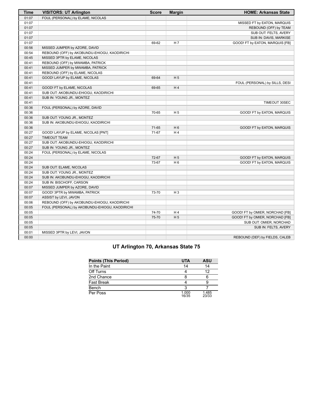| Time  | <b>VISITORS: UT Arlington</b>                  | <b>Score</b> | <b>Margin</b>  | <b>HOME: Arkansas State</b>     |
|-------|------------------------------------------------|--------------|----------------|---------------------------------|
| 01:07 | FOUL (PERSONAL) by ELAME, NICOLAS              |              |                |                                 |
| 01:07 |                                                |              |                | MISSED FT by EATON, MARQUIS     |
| 01:07 |                                                |              |                | REBOUND (OFF) by TEAM           |
| 01:07 |                                                |              |                | SUB OUT: FELTS, AVERY           |
| 01:07 |                                                |              |                | SUB IN: DAVIS, MARKISE          |
| 01:07 |                                                | 69-62        | H 7            | GOOD! FT by EATON, MARQUIS [FB] |
| 00:56 | MISSED JUMPER by AZORE, DAVID                  |              |                |                                 |
| 00:54 | REBOUND (OFF) by AKOBUNDU-EHIOGU, KAODIRICHI   |              |                |                                 |
| 00:45 | MISSED 3PTR by ELAME, NICOLAS                  |              |                |                                 |
| 00:41 | REBOUND (OFF) by MWAMBA, PATRICK               |              |                |                                 |
| 00:41 | MISSED JUMPER by MWAMBA, PATRICK               |              |                |                                 |
| 00:41 | REBOUND (OFF) by ELAME, NICOLAS                |              |                |                                 |
| 00:41 | GOOD! LAYUP by ELAME, NICOLAS                  | 69-64        | H <sub>5</sub> |                                 |
| 00:41 |                                                |              |                | FOUL (PERSONAL) by SILLS, DESI  |
| 00:41 | GOOD! FT by ELAME, NICOLAS                     | 69-65        | H4             |                                 |
| 00:41 | SUB OUT: AKOBUNDU-EHIOGU, KAODIRICHI           |              |                |                                 |
| 00:41 | SUB IN: YOUNG JR., MONTEZ                      |              |                |                                 |
| 00:41 |                                                |              |                | TIMEOUT 30SEC                   |
| 00:36 | FOUL (PERSONAL) by AZORE, DAVID                |              |                |                                 |
| 00:36 |                                                | 70-65        | H <sub>5</sub> | GOOD! FT by EATON, MARQUIS      |
| 00:36 | SUB OUT: YOUNG JR., MONTEZ                     |              |                |                                 |
| 00:36 | SUB IN: AKOBUNDU-EHIOGU, KAODIRICHI            |              |                |                                 |
| 00:36 |                                                | 71-65        | H <sub>6</sub> | GOOD! FT by EATON, MARQUIS      |
| 00:27 | GOOD! LAYUP by ELAME, NICOLAS [PNT]            | 71-67        | H4             |                                 |
| 00:27 | <b>TIMEOUT TEAM</b>                            |              |                |                                 |
| 00:27 | SUB OUT: AKOBUNDU-EHIOGU, KAODIRICHI           |              |                |                                 |
| 00:27 | SUB IN: YOUNG JR., MONTEZ                      |              |                |                                 |
| 00:24 | FOUL (PERSONAL) by ELAME, NICOLAS              |              |                |                                 |
| 00:24 |                                                | 72-67        | H <sub>5</sub> | GOOD! FT by EATON, MARQUIS      |
| 00:24 |                                                | 73-67        | H <sub>6</sub> | GOOD! FT by EATON, MARQUIS      |
| 00:24 | SUB OUT: ELAME, NICOLAS                        |              |                |                                 |
| 00:24 | SUB OUT: YOUNG JR., MONTEZ                     |              |                |                                 |
| 00:24 | SUB IN: AKOBUNDU-EHIOGU, KAODIRICHI            |              |                |                                 |
| 00:24 | SUB IN: BISCHOFF, CARSON                       |              |                |                                 |
| 00:07 | MISSED JUMPER by AZORE, DAVID                  |              |                |                                 |
| 00:07 | GOOD! 3PTR by MWAMBA, PATRICK                  | 73-70        | H <sub>3</sub> |                                 |
| 00:07 | ASSIST by LEVI, JAVON                          |              |                |                                 |
| 00:06 | REBOUND (OFF) by AKOBUNDU-EHIOGU, KAODIRICHI   |              |                |                                 |
| 00:05 | FOUL (PERSONAL) by AKOBUNDU-EHIOGU, KAODIRICHI |              |                |                                 |
| 00:05 |                                                | 74-70        | H4             | GOOD! FT by OMIER, NORCHAD [FB] |
| 00:05 |                                                | 75-70        | H <sub>5</sub> | GOOD! FT by OMIER, NORCHAD [FB] |
| 00:05 |                                                |              |                | SUB OUT: OMIER, NORCHAD         |
| 00:05 |                                                |              |                | SUB IN: FELTS, AVERY            |
|       |                                                |              |                |                                 |
| 00:01 | MISSED 3PTR by LEVI, JAVON                     |              |                |                                 |
| 00:00 |                                                |              |                | REBOUND (DEF) by FIELDS, CALEB  |

# **UT Arlington 70, Arkansas State 75**

| <b>Points (This Period)</b> | <b>UTA</b>     | <b>ASU</b>     |
|-----------------------------|----------------|----------------|
| In the Paint                | 14             | 14             |
| Off Turns                   |                | 12             |
| 2nd Chance                  |                | 6              |
| Fast Break                  |                |                |
| Bench                       |                |                |
| Per Poss                    | 1.000<br>16/35 | 1.485<br>23/33 |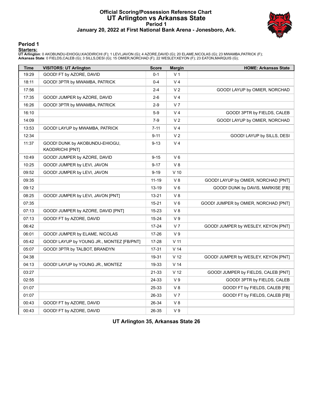## **Official Scoring/Possession Reference Chart UT Arlington vs Arkansas State Period 1 January 20, 2022 at First National Bank Arena - Jonesboro, Ark.**



#### **Period 1**

#### **Starters:**

**UT Arlington**: 0 AKOBUNDU-EHIOGU,KAODIRICHI (F); 1 LEVI,JAVON (G); 4 AZORE,DAVID (G); 20 ELAME,NICOLAS (G); 23 MWAMBA,PATRICK (F);<br>**Arkansas State**: 0 FIELDS,CALEB (G); 3 SILLS,DESI (G); 15 OMIER,NORCHAD (F); 22 WESLEY,KE

| <b>Time</b> | <b>VISITORS: UT Arlington</b>                      | <b>Score</b> | <b>Margin</b>   | <b>HOME: Arkansas State</b>          |
|-------------|----------------------------------------------------|--------------|-----------------|--------------------------------------|
| 19:29       | GOOD! FT by AZORE, DAVID                           | $0 - 1$      | V <sub>1</sub>  |                                      |
| 18:11       | GOOD! 3PTR by MWAMBA, PATRICK                      | $0 - 4$      | V <sub>4</sub>  |                                      |
| 17:56       |                                                    | $2 - 4$      | V <sub>2</sub>  | GOOD! LAYUP by OMIER, NORCHAD        |
| 17:35       | GOOD! JUMPER by AZORE, DAVID                       | $2-6$        | V <sub>4</sub>  |                                      |
| 16:26       | GOOD! 3PTR by MWAMBA, PATRICK                      | $2-9$        | V <sub>7</sub>  |                                      |
| 16:10       |                                                    | $5-9$        | V <sub>4</sub>  | GOOD! 3PTR by FIELDS, CALEB          |
| 14:09       |                                                    | $7-9$        | V <sub>2</sub>  | GOOD! LAYUP by OMIER, NORCHAD        |
| 13:53       | GOOD! LAYUP by MWAMBA, PATRICK                     | $7 - 11$     | V <sub>4</sub>  |                                      |
| 12:34       |                                                    | $9 - 11$     | V <sub>2</sub>  | GOOD! LAYUP by SILLS, DESI           |
| 11:37       | GOOD! DUNK by AKOBUNDU-EHIOGU,<br>KAODIRICHI [PNT] | $9 - 13$     | V <sub>4</sub>  |                                      |
| 10:49       | GOOD! JUMPER by AZORE, DAVID                       | $9 - 15$     | $V_6$           |                                      |
| 10:25       | GOOD! JUMPER by LEVI, JAVON                        | $9 - 17$     | V8              |                                      |
| 09:52       | GOOD! JUMPER by LEVI, JAVON                        | $9 - 19$     | $V$ 10          |                                      |
| 09:35       |                                                    | $11 - 19$    | V8              | GOOD! LAYUP by OMIER, NORCHAD [PNT]  |
| 09:12       |                                                    | 13-19        | V6              | GOOD! DUNK by DAVIS, MARKISE [FB]    |
| 08:25       | GOOD! JUMPER by LEVI, JAVON [PNT]                  | 13-21        | V8              |                                      |
| 07:35       |                                                    | $15 - 21$    | $V_6$           | GOOD! JUMPER by OMIER, NORCHAD [PNT] |
| 07:13       | GOOD! JUMPER by AZORE, DAVID [PNT]                 | 15-23        | V8              |                                      |
| 07:13       | GOOD! FT by AZORE, DAVID                           | 15-24        | V <sub>9</sub>  |                                      |
| 06:42       |                                                    | $17 - 24$    | V <sub>7</sub>  | GOOD! JUMPER by WESLEY, KEYON [PNT]  |
| 06:01       | GOOD! JUMPER by ELAME, NICOLAS                     | 17-26        | V <sub>9</sub>  |                                      |
| 05:42       | GOOD! LAYUP by YOUNG JR., MONTEZ [FB/PNT]          | 17-28        | $V$ 11          |                                      |
| 05:07       | GOOD! 3PTR by TALBOT, BRANDYN                      | 17-31        | V <sub>14</sub> |                                      |
| 04:38       |                                                    | 19-31        | V <sub>12</sub> | GOOD! JUMPER by WESLEY, KEYON [PNT]  |
| 04:13       | GOOD! LAYUP by YOUNG JR., MONTEZ                   | 19-33        | V <sub>14</sub> |                                      |
| 03:27       |                                                    | 21-33        | V <sub>12</sub> | GOOD! JUMPER by FIELDS, CALEB [PNT]  |
| 02:55       |                                                    | 24-33        | V <sub>9</sub>  | GOOD! 3PTR by FIELDS, CALEB          |
| 01:07       |                                                    | 25-33        | V8              | GOOD! FT by FIELDS, CALEB [FB]       |
| 01:07       |                                                    | 26-33        | V <sub>7</sub>  | GOOD! FT by FIELDS, CALEB [FB]       |
| 00:43       | GOOD! FT by AZORE, DAVID                           | 26-34        | $\vee$ 8        |                                      |
| 00:43       | GOOD! FT by AZORE, DAVID                           | 26-35        | V <sub>9</sub>  |                                      |

**UT Arlington 35, Arkansas State 26**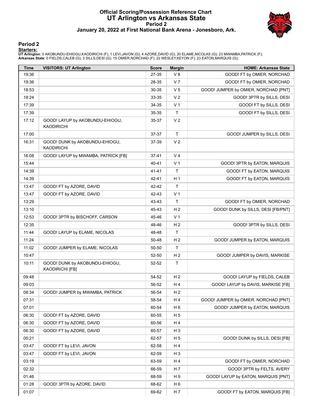#### **Official Scoring/Possession Reference Chart UT Arlington vs Arkansas State Period 2 January 20, 2022 at First National Bank Arena - Jonesboro, Ark.**



#### **Period 2**

#### **Starters:**

**UT Arlington**: 0 AKOBUNDU-EHIOGU,KAODIRICHI (F); 1 LEVI,JAVON (G); 4 AZORE,DAVID (G); 20 ELAME,NICOLAS (G); 23 MWAMBA,PATRICK (F);<br>**Arkansas State**: 0 FIELDS,CALEB (G); 3 SILLS,DESI (G); 15 OMIER,NORCHAD (F); 22 WESLEY,KE

| <b>Time</b> | <b>VISITORS: UT Arlington</b>                            | <b>Score</b> | <b>Margin</b>  | <b>HOME: Arkansas State</b>          |
|-------------|----------------------------------------------------------|--------------|----------------|--------------------------------------|
| 19:36       |                                                          | 27-35        | V8             | GOOD! FT by OMIER, NORCHAD           |
| 19:36       |                                                          | 28-35        | V <sub>7</sub> | GOOD! FT by OMIER, NORCHAD           |
| 18:53       |                                                          | 30-35        | V <sub>5</sub> | GOOD! JUMPER by OMIER, NORCHAD [PNT] |
| 18:24       |                                                          | 33-35        | V <sub>2</sub> | GOOD! 3PTR by SILLS, DESI            |
| 17:39       |                                                          | 34-35        | V <sub>1</sub> | GOOD! FT by SILLS, DESI              |
| 17:39       |                                                          | 35-35        | $\mathsf{T}$   | GOOD! FT by SILLS, DESI              |
| 17:12       | GOOD! LAYUP by AKOBUNDU-EHIOGU,<br><b>KAODIRICHI</b>     | 35-37        | V <sub>2</sub> |                                      |
| 17:00       |                                                          | 37-37        | $\mathsf{T}$   | GOOD! JUMPER by SILLS, DESI          |
| 16:31       | GOOD! DUNK by AKOBUNDU-EHIOGU,<br><b>KAODIRICHI</b>      | 37-39        | V <sub>2</sub> |                                      |
| 16:08       | GOOD! LAYUP by MWAMBA, PATRICK [FB]                      | $37 - 41$    | V <sub>4</sub> |                                      |
| 15:44       |                                                          | 40-41        | V <sub>1</sub> | GOOD! 3PTR by EATON, MARQUIS         |
| 14:39       |                                                          | $41 - 41$    | T              | GOOD! FT by EATON, MARQUIS           |
| 14:39       |                                                          | 42-41        | H <sub>1</sub> | GOOD! FT by EATON, MARQUIS           |
| 13:47       | GOOD! FT by AZORE, DAVID                                 | 42-42        | $\mathsf{T}$   |                                      |
| 13:47       | GOOD! FT by AZORE, DAVID                                 | 42-43        | V <sub>1</sub> |                                      |
| 13:29       |                                                          | 43-43        | T.             | GOOD! FT by OMIER, NORCHAD           |
| 13:10       |                                                          | 45-43        | H <sub>2</sub> | GOOD! DUNK by SILLS, DESI [FB/PNT]   |
| 12:53       | GOOD! 3PTR by BISCHOFF, CARSON                           | 45-46        | V <sub>1</sub> |                                      |
| 12:35       |                                                          | 48-46        | H <sub>2</sub> | GOOD! 3PTR by SILLS, DESI            |
| 11:44       | GOOD! LAYUP by ELAME, NICOLAS                            | 48-48        | T.             |                                      |
| 11:24       |                                                          | 50-48        | H <sub>2</sub> | GOOD! JUMPER by EATON, MARQUIS       |
| 11:02       | GOOD! JUMPER by ELAME, NICOLAS                           | 50-50        | T              |                                      |
| 10:47       |                                                          | 52-50        | H <sub>2</sub> | GOOD! JUMPER by DAVIS, MARKISE       |
| 10:11       | GOOD! DUNK by AKOBUNDU-EHIOGU,<br><b>KAODIRICHI [FB]</b> | $52 - 52$    | $\mathsf{T}$   |                                      |
| 09:48       |                                                          | 54-52        | H <sub>2</sub> | GOOD! LAYUP by FIELDS, CALEB         |
| 09:03       |                                                          | 56-52        | H4             | GOOD! LAYUP by DAVIS, MARKISE [FB]   |
| 08:34       | GOOD! JUMPER by MWAMBA, PATRICK                          | 56-54        | H <sub>2</sub> |                                      |
| 07:31       |                                                          | 58-54        | H 4            | GOOD! JUMPER by OMIER, NORCHAD [PNT] |
| 07:01       |                                                          | 60-54        | H <sub>6</sub> | GOOD! JUMPER by EATON, MARQUIS       |
| 06:30       | GOOD! FT by AZORE, DAVID                                 | 60-55        | H <sub>5</sub> |                                      |
| 06:30       | GOOD! FT by AZORE, DAVID                                 | 60-56        | H 4            |                                      |
| 06:30       | GOOD! FT by AZORE, DAVID                                 | 60-57        | H <sub>3</sub> |                                      |
| 05:21       |                                                          | 62-57        | H <sub>5</sub> | GOOD! DUNK by SILLS, DESI [FB]       |
| 03:47       | GOOD! FT by LEVI, JAVON                                  | 62-58        | H 4            |                                      |
| 03:47       | GOOD! FT by LEVI, JAVON                                  | 62-59        | $H_3$          |                                      |
| 03:19       |                                                          | 63-59        | H 4            | GOOD! FT by OMIER, NORCHAD           |
| 02:32       |                                                          | 66-59        | H <sub>7</sub> | GOOD! 3PTR by FELTS, AVERY           |
| 01:46       |                                                          | 68-59        | H 9            | GOOD! LAYUP by EATON, MARQUIS [PNT]  |
| 01:28       | GOOD! 3PTR by AZORE, DAVID                               | 68-62        | H <sub>6</sub> |                                      |
| 01:07       |                                                          | 69-62        | H 7            | GOOD! FT by EATON, MARQUIS [FB]      |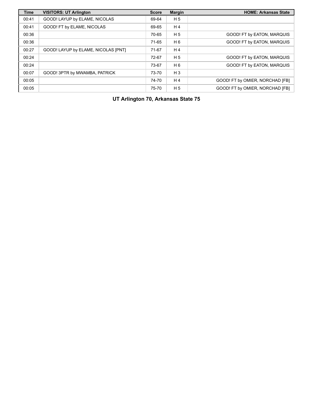| <b>Time</b> | <b>VISITORS: UT Arlington</b>       | <b>Score</b> | <b>Margin</b>  | <b>HOME: Arkansas State</b>     |
|-------------|-------------------------------------|--------------|----------------|---------------------------------|
| 00:41       | GOOD! LAYUP by ELAME, NICOLAS       | 69-64        | H <sub>5</sub> |                                 |
| 00:41       | GOOD! FT by ELAME, NICOLAS          | 69-65        | H <sub>4</sub> |                                 |
| 00:36       |                                     | 70-65        | H <sub>5</sub> | GOOD! FT by EATON, MARQUIS      |
| 00:36       |                                     | 71-65        | H 6            | GOOD! FT by EATON, MARQUIS      |
| 00:27       | GOOD! LAYUP by ELAME, NICOLAS [PNT] | 71-67        | H <sub>4</sub> |                                 |
| 00:24       |                                     | 72-67        | H <sub>5</sub> | GOOD! FT by EATON, MARQUIS      |
| 00:24       |                                     | 73-67        | H 6            | GOOD! FT by EATON, MARQUIS      |
| 00:07       | GOOD! 3PTR by MWAMBA, PATRICK       | 73-70        | $H_3$          |                                 |
| 00:05       |                                     | 74-70        | H <sub>4</sub> | GOOD! FT by OMIER, NORCHAD [FB] |
| 00:05       |                                     | 75-70        | H <sub>5</sub> | GOOD! FT by OMIER, NORCHAD [FB] |

**UT Arlington 70, Arkansas State 75**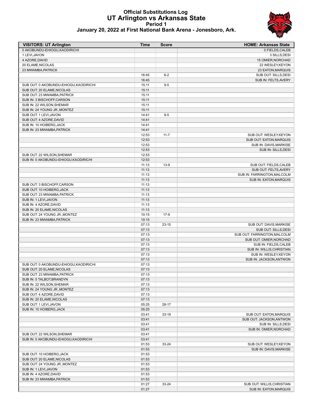#### **Official Substitutions Log UT Arlington vs Arkansas State Period 1 January 20, 2022 at First National Bank Arena - Jonesboro, Ark.**



| <b>VISITORS: UT Arlington</b>                            | Time           | <b>Score</b> | <b>HOME: Arkansas State</b>   |
|----------------------------------------------------------|----------------|--------------|-------------------------------|
| 0 AKOBUNDU-EHIOGU.KAODIRICHI                             |                |              | 0 FIELDS, CALEB               |
| 1 LEVI, JAVON                                            |                |              | 3 SILLS, DESI                 |
| 4 AZORE, DAVID                                           |                |              | 15 OMIER, NORCHAD             |
| 20 ELAME, NICOLAS                                        |                |              | 22 WESLEY, KEYON              |
| 23 MWAMBA, PATRICK                                       |                |              | 23 EATON, MARQUIS             |
|                                                          | 16:45          | $6-2$        | SUB OUT: SILLS, DESI          |
|                                                          | 16:45          |              | SUB IN: FELTS, AVERY          |
| SUB OUT: 0 AKOBUNDU-EHIOGU, KAODIRICHI                   | 15:11          | $9-5$        |                               |
| SUB OUT: 20 ELAME, NICOLAS                               | 15:11          |              |                               |
| SUB OUT: 23 MWAMBA, PATRICK                              | 15:11          |              |                               |
| SUB IN: 3 BISCHOFF, CARSON                               | 15:11          |              |                               |
| SUB IN: 22 WILSON, SHEMAR                                | 15:11          |              |                               |
| SUB IN: 24 YOUNG JR., MONTEZ                             | 15:11          |              |                               |
| SUB OUT: 1 LEVI, JAVON                                   | 14:41          | $9-5$        |                               |
| SUB OUT: 4 AZORE, DAVID                                  | 14:41          |              |                               |
| SUB IN: 10 HOIBERG, JACK                                 | 14:41          |              |                               |
| SUB IN: 23 MWAMBA, PATRICK                               | 14:41          |              |                               |
|                                                          | 12:53          | $11 - 7$     | SUB OUT: WESLEY, KEYON        |
|                                                          | 12:53          |              | SUB OUT: EATON, MARQUIS       |
|                                                          | 12:53          |              | SUB IN: DAVIS, MARKISE        |
|                                                          | 12:53          |              | SUB IN: SILLS, DESI           |
| SUB OUT: 22 WILSON, SHEMAR                               | 12:53          |              |                               |
| SUB IN: 0 AKOBUNDU-EHIOGU, KAODIRICHI                    | 12:53          |              |                               |
|                                                          | 11:13          | $13-9$       | SUB OUT: FIELDS, CALEB        |
|                                                          | 11:13          |              | SUB OUT: FELTS, AVERY         |
|                                                          | 11:13          |              | SUB IN: FARRINGTON, MALCOLM   |
|                                                          | 11:13          |              | <b>SUB IN: EATON, MARQUIS</b> |
| SUB OUT: 3 BISCHOFF, CARSON                              | 11:13          |              |                               |
| SUB OUT: 10 HOIBERG, JACK<br>SUB OUT: 23 MWAMBA, PATRICK | 11:13<br>11:13 |              |                               |
| SUB IN: 1 LEVI, JAVON                                    | 11:13          |              |                               |
| SUB IN: 4 AZORE, DAVID                                   | 11:13          |              |                               |
| SUB IN: 20 ELAME, NICOLAS                                | 11:13          |              |                               |
| SUB OUT: 24 YOUNG JR., MONTEZ                            | 10:15          | $17-9$       |                               |
| SUB IN: 23 MWAMBA, PATRICK                               | 10:15          |              |                               |
|                                                          | 07:13          | $23 - 15$    | SUB OUT: DAVIS, MARKISE       |
|                                                          | 07:13          |              | SUB OUT: SILLS, DESI          |
|                                                          | 07:13          |              | SUB OUT: FARRINGTON, MALCOLM  |
|                                                          | 07:13          |              | SUB OUT: OMIER, NORCHAD       |
|                                                          | 07:13          |              | SUB IN: FIELDS, CALEB         |
|                                                          | 07:13          |              | SUB IN: WILLIS, CHRISTIAN     |
|                                                          | 07:13          |              | SUB IN: WESLEY, KEYON         |
| SUB OUT: 0 AKOBUNDU-EHIOGU, KAODIRICHI                   | 07:13<br>07:13 |              | SUB IN: JACKSON, ANTWON       |
| SUB OUT: 20 ELAME, NICOLAS                               | 07:13          |              |                               |
| SUB OUT: 23 MWAMBA, PATRICK                              | 07:13          |              |                               |
| SUB IN: 5 TALBOT, BRANDYN                                | 07:13          |              |                               |
| SUB IN: 22 WILSON, SHEMAR                                | 07:13          |              |                               |
| SUB IN: 24 YOUNG JR., MONTEZ                             | 07:13          |              |                               |
| SUB OUT: 4 AZORE, DAVID                                  | 07:13          |              |                               |
| SUB IN: 20 ELAME, NICOLAS                                | 07:13          |              |                               |
| SUB OUT: 1 LEVI, JAVON                                   | 05:25          | 28-17        |                               |
| SUB IN: 10 HOIBERG, JACK                                 | 05:25          |              |                               |
|                                                          | 03:41          | $33-19$      | SUB OUT: EATON, MARQUIS       |
|                                                          | 03:41          |              | SUB OUT: JACKSON, ANTWON      |
|                                                          | 03:41          |              | SUB IN: SILLS, DESI           |
|                                                          | 03:41          |              | SUB IN: OMIER, NORCHAD        |
| SUB OUT: 22 WILSON, SHEMAR                               | 03:41          |              |                               |
| SUB IN: 0 AKOBUNDU-EHIOGU, KAODIRICHI                    | 03:41          |              |                               |
|                                                          | 01:53          | 33-24        | SUB OUT: WESLEY, KEYON        |
|                                                          | 01:53          |              | SUB IN: DAVIS, MARKISE        |
| SUB OUT: 10 HOIBERG, JACK                                | 01:53          |              |                               |
| SUB OUT: 20 ELAME, NICOLAS                               | 01:53          |              |                               |
| SUB OUT: 24 YOUNG JR., MONTEZ                            | 01:53          |              |                               |
| SUB IN: 1 LEVI, JAVON<br>SUB IN: 4 AZORE, DAVID          | 01:53<br>01:53 |              |                               |
| SUB IN: 23 MWAMBA, PATRICK                               | 01:53          |              |                               |
|                                                          | 01:27          | 33-24        | SUB OUT: WILLIS, CHRISTIAN    |
|                                                          | 01:27          |              | <b>SUB IN: EATON, MARQUIS</b> |
|                                                          |                |              |                               |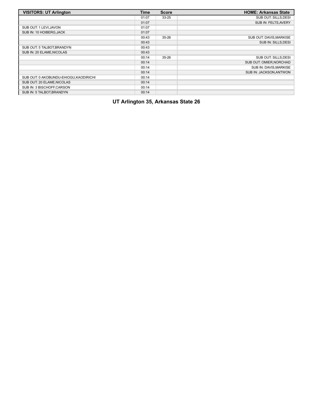| <b>VISITORS: UT Arlington</b>          | <b>Time</b> | <b>Score</b> | <b>HOME: Arkansas State</b> |
|----------------------------------------|-------------|--------------|-----------------------------|
|                                        | 01:07       | $33 - 25$    | SUB OUT: SILLS, DESI        |
|                                        | 01:07       |              | SUB IN: FELTS, AVERY        |
| SUB OUT: 1 LEVI, JAVON                 | 01:07       |              |                             |
| SUB IN: 10 HOIBERG, JACK               | 01:07       |              |                             |
|                                        | 00:43       | $35 - 26$    | SUB OUT: DAVIS, MARKISE     |
|                                        | 00:43       |              | SUB IN: SILLS, DESI         |
| SUB OUT: 5 TALBOT, BRANDYN             | 00:43       |              |                             |
| SUB IN: 20 ELAME, NICOLAS              | 00:43       |              |                             |
|                                        | 00:14       | $35 - 26$    | SUB OUT: SILLS.DESI         |
|                                        | 00:14       |              | SUB OUT: OMIER, NORCHAD     |
|                                        | 00:14       |              | SUB IN: DAVIS, MARKISE      |
|                                        | 00:14       |              | SUB IN: JACKSON, ANTWON     |
| SUB OUT: 0 AKOBUNDU-EHIOGU, KAODIRICHI | 00:14       |              |                             |
| SUB OUT: 20 ELAME, NICOLAS             | 00:14       |              |                             |
| SUB IN: 3 BISCHOFF.CARSON              | 00:14       |              |                             |
| SUB IN: 5 TALBOT BRANDYN               | 00:14       |              |                             |

# **UT Arlington 35, Arkansas State 26**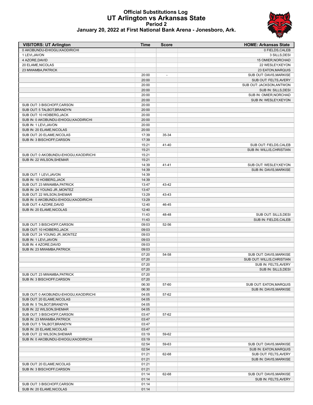# **Official Substitutions Log UT Arlington vs Arkansas State Period 2**



|  |  | January 20, 2022 at First National Bank Arena - Jonesboro, Ark. |  |  |  |
|--|--|-----------------------------------------------------------------|--|--|--|
|--|--|-----------------------------------------------------------------|--|--|--|

| <b>VISITORS: UT Arlington</b>                               | <b>Time</b>    | <b>Score</b>   | <b>HOME: Arkansas State</b>                     |
|-------------------------------------------------------------|----------------|----------------|-------------------------------------------------|
| 0 AKOBUNDU-EHIOGU, KAODIRICHI                               |                |                | 0 FIELDS, CALEB                                 |
| 1 LEVI, JAVON                                               |                |                | 3 SILLS, DESI                                   |
| 4 AZORE, DAVID                                              |                |                | 15 OMIER, NORCHAD                               |
| 20 ELAME, NICOLAS                                           |                |                | 22 WESLEY, KEYON                                |
| 23 MWAMBA, PATRICK                                          |                |                | 23 EATON, MARQUIS                               |
|                                                             | 20:00          | $\overline{a}$ | SUB OUT: DAVIS, MARKISE                         |
|                                                             | 20:00          |                | SUB OUT: FELTS, AVERY                           |
|                                                             | 20:00<br>20:00 |                | SUB OUT: JACKSON, ANTWON                        |
|                                                             | 20:00          |                | SUB IN: SILLS, DESI<br>SUB IN: OMIER, NORCHAD   |
|                                                             | 20:00          |                | SUB IN: WESLEY, KEYON                           |
| SUB OUT: 3 BISCHOFF, CARSON                                 | 20:00          |                |                                                 |
| SUB OUT: 5 TALBOT, BRANDYN                                  | 20:00          |                |                                                 |
| SUB OUT: 10 HOIBERG, JACK                                   | 20:00          |                |                                                 |
| SUB IN: 0 AKOBUNDU-EHIOGU, KAODIRICHI                       | 20:00          |                |                                                 |
| SUB IN: 1 LEVI, JAVON                                       | 20:00          |                |                                                 |
| SUB IN: 20 ELAME, NICOLAS                                   | 20:00          |                |                                                 |
| SUB OUT: 20 ELAME, NICOLAS                                  | 17:39          | 35-34          |                                                 |
| SUB IN: 3 BISCHOFF, CARSON                                  | 17:39          |                |                                                 |
|                                                             | 15:21          | 41-40          | SUB OUT: FIELDS, CALEB                          |
|                                                             | 15:21          |                | SUB IN: WILLIS.CHRISTIAN                        |
| SUB OUT: 0 AKOBUNDU-EHIOGU, KAODIRICHI                      | 15:21          |                |                                                 |
| SUB IN: 22 WILSON, SHEMAR                                   | 15:21          |                |                                                 |
|                                                             | 14:39          | 41-41          | SUB OUT: WESLEY, KEYON                          |
|                                                             | 14:39          |                | SUB IN: DAVIS, MARKISE                          |
| SUB OUT: 1 LEVI, JAVON                                      | 14:39          |                |                                                 |
| SUB IN: 10 HOIBERG, JACK                                    | 14:39          |                |                                                 |
| SUB OUT: 23 MWAMBA, PATRICK<br>SUB IN: 24 YOUNG JR., MONTEZ | 13:47<br>13:47 | 43-42          |                                                 |
| SUB OUT: 22 WILSON, SHEMAR                                  | 13:29          | 43-43          |                                                 |
| SUB IN: 0 AKOBUNDU-EHIOGU, KAODIRICHI                       | 13:29          |                |                                                 |
| SUB OUT: 4 AZORE, DAVID                                     | 12:40          | 46-45          |                                                 |
| SUB IN: 20 ELAME, NICOLAS                                   | 12:40          |                |                                                 |
|                                                             | 11:43          | 48-48          | SUB OUT: SILLS, DESI                            |
|                                                             | 11:43          |                | SUB IN: FIELDS, CALEB                           |
| SUB OUT: 3 BISCHOFF, CARSON                                 | 09:03          | 52-56          |                                                 |
| SUB OUT: 10 HOIBERG, JACK                                   | 09:03          |                |                                                 |
| SUB OUT: 24 YOUNG JR., MONTEZ                               | 09:03          |                |                                                 |
| SUB IN: 1 LEVI, JAVON                                       | 09:03          |                |                                                 |
| SUB IN: 4 AZORE, DAVID                                      | 09:03          |                |                                                 |
| SUB IN: 23 MWAMBA, PATRICK                                  | 09:03          |                |                                                 |
|                                                             | 07:20          | 54-58          | SUB OUT: DAVIS, MARKISE                         |
|                                                             | 07:20          |                | SUB OUT: WILLIS, CHRISTIAN                      |
|                                                             | 07:20<br>07:20 |                | SUB IN: FELTS, AVERY                            |
| SUB OUT: 23 MWAMBA, PATRICK                                 | 07:20          |                | SUB IN: SILLS, DESI                             |
| SUB IN: 3 BISCHOFF, CARSON                                  | 07:20          |                |                                                 |
|                                                             | 06:30          | 57-60          | SUB OUT: EATON, MARQUIS                         |
|                                                             | 06:30          |                | SUB IN: DAVIS, MARKISE                          |
| SUB OUT: 0 AKOBUNDU-EHIOGU, KAODIRICHI                      | 04:05          | 57-62          |                                                 |
| SUB OUT: 20 ELAME, NICOLAS                                  | 04:05          |                |                                                 |
| SUB IN: 5 TALBOT, BRANDYN                                   | 04:05          |                |                                                 |
| SUB IN: 22 WILSON.SHEMAR                                    | 04:05          |                |                                                 |
| SUB OUT: 3 BISCHOFF, CARSON                                 | 03:47          | 57-62          |                                                 |
| SUB IN: 23 MWAMBA, PATRICK                                  | 03:47          |                |                                                 |
| SUB OUT: 5 TALBOT, BRANDYN                                  | 03:47          |                |                                                 |
| SUB IN: 20 ELAME, NICOLAS                                   | 03:47          |                |                                                 |
| SUB OUT: 22 WILSON, SHEMAR                                  | 03:19          | 59-62          |                                                 |
| SUB IN: 0 AKOBUNDU-EHIOGU, KAODIRICHI                       | 03:19          |                |                                                 |
|                                                             | 02:54          | 59-63          | SUB OUT: DAVIS, MARKISE                         |
|                                                             | 02:54          |                | <b>SUB IN: EATON, MARQUIS</b>                   |
|                                                             | 01:21<br>01:21 | 62-68          | SUB OUT: FELTS, AVERY<br>SUB IN: DAVIS, MARKISE |
| SUB OUT: 20 ELAME, NICOLAS                                  | 01:21          |                |                                                 |
| SUB IN: 3 BISCHOFF, CARSON                                  | 01:21          |                |                                                 |
|                                                             | 01:14          | 62-68          | SUB OUT: DAVIS, MARKISE                         |
|                                                             | 01:14          |                | SUB IN: FELTS, AVERY                            |
| SUB OUT: 3 BISCHOFF, CARSON                                 | 01:14          |                |                                                 |
| SUB IN: 20 ELAME, NICOLAS                                   | 01:14          |                |                                                 |